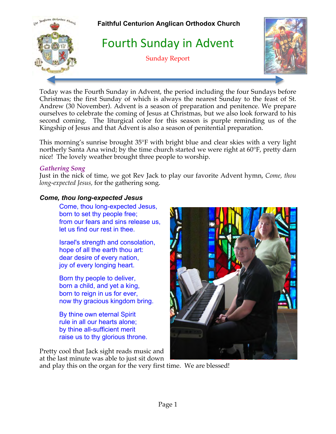

Today was the Fourth Sunday in Advent, the period including the four Sundays before Christmas; the first Sunday of which is always the nearest Sunday to the feast of St. Andrew (30 November). Advent is a season of preparation and penitence. We prepare ourselves to celebrate the coming of Jesus at Christmas, but we also look forward to his second coming. The liturgical color for this season is purple reminding us of the Kingship of Jesus and that Advent is also a season of penitential preparation.

This morning's sunrise brought 35°F with bright blue and clear skies with a very light northerly Santa Ana wind; by the time church started we were right at 60°F, pretty darn nice! The lovely weather brought three people to worship.

#### *Gathering Song*

Just in the nick of time, we got Rev Jack to play our favorite Advent hymn, *Come, thou long-expected Jesus,* for the gathering song.

## *Come, thou long-expected Jesus*

Come, thou long-expected Jesus, born to set thy people free; from our fears and sins release us, let us find our rest in thee.

Israel's strength and consolation, hope of all the earth thou art: dear desire of every nation, joy of every longing heart.

Born thy people to deliver, born a child, and yet a king, born to reign in us for ever, now thy gracious kingdom bring.

By thine own eternal Spirit rule in all our hearts alone; by thine all-sufficient merit raise us to thy glorious throne.

Pretty cool that Jack sight reads music and at the last minute was able to just sit down



and play this on the organ for the very first time. We are blessed!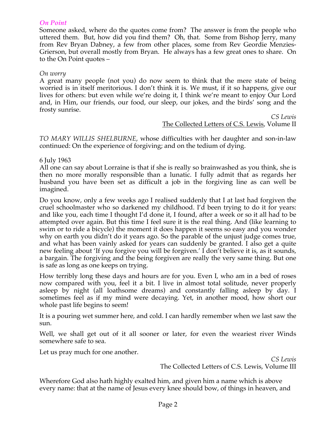#### *On Point*

Someone asked, where do the quotes come from? The answer is from the people who uttered them. But, how did you find them? Oh, that. Some from Bishop Jerry, many from Rev Bryan Dabney, a few from other places, some from Rev Geordie Menzies-Grierson, but overall mostly from Bryan. He always has a few great ones to share. On to the On Point quotes –

#### *On worry*

A great many people (not you) do now seem to think that the mere state of being worried is in itself meritorious. I don't think it is. We must, if it so happens, give our lives for others: but even while we're doing it, I think we're meant to enjoy Our Lord and, in Him, our friends, our food, our sleep, our jokes, and the birds' song and the frosty sunrise.

> *CS Lewis* The Collected Letters of C.S. Lewis, Volume II

*TO MARY WILLIS SHELBURNE*, whose difficulties with her daughter and son-in-law continued: On the experience of forgiving; and on the tedium of dying.

#### 6 July 1963

All one can say about Lorraine is that if she is really so brainwashed as you think, she is then no more morally responsible than a lunatic. I fully admit that as regards her husband you have been set as difficult a job in the forgiving line as can well be imagined.

Do you know, only a few weeks ago I realised suddenly that I at last had forgiven the cruel schoolmaster who so darkened my childhood. I'd been trying to do it for years: and like you, each time I thought I'd done it, I found, after a week or so it all had to be attempted over again. But this time I feel sure it is the real thing. And (like learning to swim or to ride a bicycle) the moment it does happen it seems so easy and you wonder why on earth you didn't do it years ago. So the parable of the unjust judge comes true, and what has been vainly asked for years can suddenly be granted. I also get a quite new feeling about 'If you forgive you will be forgiven.' I don't believe it is, as it sounds, a bargain. The forgiving and the being forgiven are really the very same thing. But one is safe as long as one keeps on trying.

How terribly long these days and hours are for you. Even I, who am in a bed of roses now compared with you, feel it a bit. I live in almost total solitude, never properly asleep by night (all loathsome dreams) and constantly falling asleep by day. I sometimes feel as if my mind were decaying. Yet, in another mood, how short our whole past life begins to seem!

It is a pouring wet summer here, and cold. I can hardly remember when we last saw the sun.

Well, we shall get out of it all sooner or later, for even the weariest river Winds somewhere safe to sea.

Let us pray much for one another.

*CS Lewis* The Collected Letters of C.S. Lewis, Volume III

Wherefore God also hath highly exalted him, and given him a name which is above every name: that at the name of Jesus every knee should bow, of things in heaven, and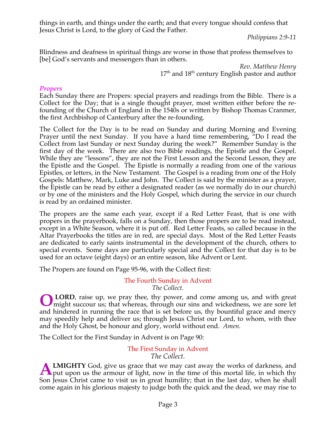things in earth, and things under the earth; and that every tongue should confess that Jesus Christ is Lord, to the glory of God the Father.

*Philippians 2:9-11* 

Blindness and deafness in spiritual things are worse in those that profess themselves to [be] God's servants and messengers than in others.

> *Rev. Matthew Henry*  $17<sup>th</sup>$  and  $18<sup>th</sup>$  century English pastor and author

## *Propers*

Each Sunday there are Propers: special prayers and readings from the Bible. There is a Collect for the Day; that is a single thought prayer, most written either before the refounding of the Church of England in the 1540s or written by Bishop Thomas Cranmer, the first Archbishop of Canterbury after the re-founding.

The Collect for the Day is to be read on Sunday and during Morning and Evening Prayer until the next Sunday. If you have a hard time remembering, "Do I read the Collect from last Sunday or next Sunday during the week?" Remember Sunday is the first day of the week. There are also two Bible readings, the Epistle and the Gospel. While they are "lessons", they are not the First Lesson and the Second Lesson, they are the Epistle and the Gospel. The Epistle is normally a reading from one of the various Epistles, or letters, in the New Testament. The Gospel is a reading from one of the Holy Gospels: Matthew, Mark, Luke and John. The Collect is said by the minister as a prayer, the Epistle can be read by either a designated reader (as we normally do in our church) or by one of the ministers and the Holy Gospel, which during the service in our church is read by an ordained minister.

The propers are the same each year, except if a Red Letter Feast, that is one with propers in the prayerbook, falls on a Sunday, then those propers are to be read instead, except in a White Season, where it is put off. Red Letter Feasts, so called because in the Altar Prayerbooks the titles are in red, are special days. Most of the Red Letter Feasts are dedicated to early saints instrumental in the development of the church, others to special events. Some days are particularly special and the Collect for that day is to be used for an octave (eight days) or an entire season, like Advent or Lent.

The Propers are found on Page 95-96, with the Collect first:

# The Fourth Sunday in Advent

*The Collect.*

 **LORD**, raise up, we pray thee, thy power, and come among us, and with great might succour us; that whereas, through our sins and wickedness, we are sore let and hindered in running the race that is set before us, thy bountiful grace and mercy may speedily help and deliver us; through Jesus Christ our Lord, to whom, with thee and the Holy Ghost, be honour and glory, world without end. *Amen.* **O**

The Collect for the First Sunday in Advent is on Page 90:

#### The First Sunday in Advent *The Collect.*

**LMIGHTY** God, give us grace that we may cast away the works of darkness, and **ALMIGHTY** God, give us grace that we may cast away the works of darkness, and put upon us the armour of light, now in the time of this mortal life, in which thy Son Jesus Christ came to visit us in great humility; that in the last day, when he shall come again in his glorious majesty to judge both the quick and the dead, we may rise to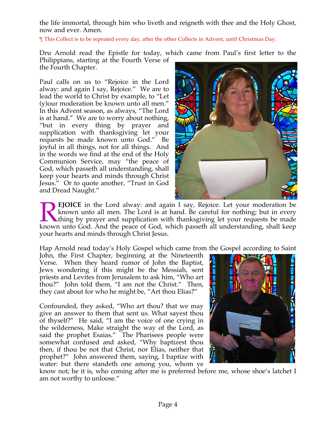the life immortal, through him who liveth and reigneth with thee and the Holy Ghost, now and ever. Amen.

¶ This Collect is to be repeated every day, after the other Collects in Advent, until Christmas Day.

Dru Arnold read the Epistle for today, which came from Paul's first letter to the Philippians, starting at the Fourth Verse of the Fourth Chapter.

Paul calls on us to "Rejoice in the Lord alway: and again I say, Rejoice." We are to lead the world to Christ by example, to "Let (y)our moderation be known unto all men." In this Advent season, as always, "The Lord is at hand." We are to worry about nothing, "but in every thing by prayer and supplication with thanksgiving let your requests be made known unto God." Be joyful in all things, not for all things. And in the words we find at the end of the Holy Communion Service, may "the peace of God, which passeth all understanding, shall keep your hearts and minds through Christ Jesus." Or to quote another, "Trust in God and Dread Naught."



**EJOICE** in the Lord alway: and again I say, Rejoice. Let your moderation be known unto all men. The Lord is at hand. Be careful for nothing; but in every thing by prayer and supplication with thanksgiving let your requests be made **EJOICE** in the Lord alway: and again I say, Rejoice. Let your moderation be known unto all men. The Lord is at hand. Be careful for nothing; but in every thing by prayer and supplication with thanksgiving let your request your hearts and minds through Christ Jesus.

Hap Arnold read today's Holy Gospel which came from the Gospel according to Saint

John, the First Chapter, beginning at the Nineteenth Verse. When they heard rumor of John the Baptist, Jews wondering if this might be the Messiah, sent priests and Levites from Jerusalem to ask him, "Who art thou?" John told them, "I am not the Christ." Then, they cast about for who he might be, "Art thou Elias?"

Confounded, they asked, "Who art thou? that we may give an answer to them that sent us. What sayest thou of thyself?" He said, "I am the voice of one crying in the wilderness, Make straight the way of the Lord, as said the prophet Esaias." The Pharisees people were somewhat confused and asked, "Why baptizest thou then, if thou be not that Christ, nor Elias, neither that prophet?" John answered them, saying, I baptize with water: but there standeth one among you, whom ye



know not; he it is, who coming after me is preferred before me, whose shoe's latchet I am not worthy to unloose."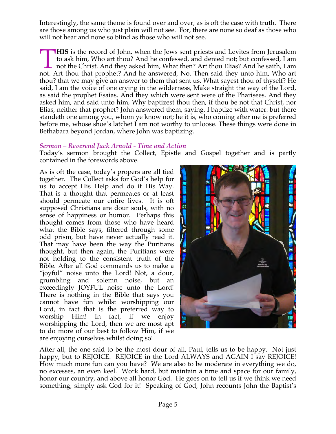Interestingly, the same theme is found over and over, as is oft the case with truth. There are those among us who just plain will not see. For, there are none so deaf as those who will not hear and none so blind as those who will not see.

**HIS** is the record of John, when the Jews sent priests and Levites from Jerusalem to ask him, Who art thou? And he confessed, and denied not; but confessed, I am not the Christ. And they asked him, What then? Art thou Elias? And he saith, I am HIS is the record of John, when the Jews sent priests and Levites from Jerusalem<br>to ask him, Who art thou? And he confessed, and denied not; but confessed, I am<br>not the Christ. And they asked him, What then? Art thou Elias thou? that we may give an answer to them that sent us. What sayest thou of thyself? He said, I am the voice of one crying in the wilderness, Make straight the way of the Lord, as said the prophet Esaias. And they which were sent were of the Pharisees. And they asked him, and said unto him, Why baptizest thou then, if thou be not that Christ, nor Elias, neither that prophet? John answered them, saying, I baptize with water: but there standeth one among you, whom ye know not; he it is, who coming after me is preferred before me, whose shoe's latchet I am not worthy to unloose. These things were done in Bethabara beyond Jordan, where John was baptizing.

#### *Sermon – Reverend Jack Arnold - Time and Action*

Today's sermon brought the Collect, Epistle and Gospel together and is partly contained in the forewords above.

As is oft the case, today's propers are all tied together. The Collect asks for God's help for us to accept His Help and do it His Way. That is a thought that permeates or at least should permeate our entire lives. It is oft supposed Christians are dour souls, with no sense of happiness or humor. Perhaps this thought comes from those who have heard what the Bible says, filtered through some odd prism, but have never actually read it. That may have been the way the Puritians thought, but then again, the Puritians were not holding to the consistent truth of the Bible. After all God commands us to make a "joyful" noise unto the Lord! Not, a dour, grumbling and solemn noise, but an exceedingly JOYFUL noise unto the Lord! There is nothing in the Bible that says you cannot have fun whilst worshipping our Lord, in fact that is the preferred way to worship Him! In fact, if we enjoy worshipping the Lord, then we are most apt to do more of our best to follow Him, if we are enjoying ourselves whilst doing so!



After all, the one said to be the most dour of all, Paul, tells us to be happy. Not just happy, but to REJOICE. REJOICE in the Lord ALWAYS and AGAIN I say REJOICE! How much more fun can you have? We are also to be moderate in everything we do, no excesses, an even keel. Work hard, but maintain a time and space for our family, honor our country, and above all honor God. He goes on to tell us if we think we need something, simply ask God for it! Speaking of God, John recounts John the Baptist's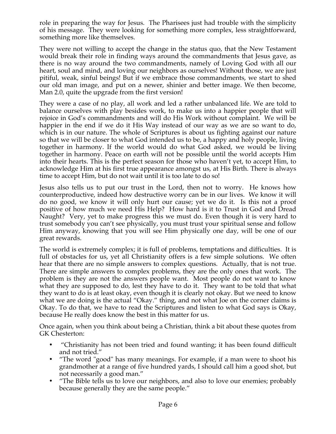role in preparing the way for Jesus. The Pharisees just had trouble with the simplicity of his message. They were looking for something more complex, less straightforward, something more like themselves.

They were not willing to accept the change in the status quo, that the New Testament would break their role in finding ways around the commandments that Jesus gave, as there is no way around the two commandments, namely of Loving God with all our heart, soul and mind, and loving our neighbors as ourselves! Without those, we are just pitiful, weak, sinful beings! But if we embrace those commandments, we start to shed our old man image, and put on a newer, shinier and better image. We then become, Man 2.0, quite the upgrade from the first version!

They were a case of no play, all work and led a rather unbalanced life. We are told to balance ourselves with play besides work, to make us into a happier people that will rejoice in God's commandments and will do His Work without complaint. We will be happier in the end if we do it His Way instead of our way as we are so want to do, which is in our nature. The whole of Scriptures is about us fighting against our nature so that we will be closer to what God intended us to be, a happy and holy people, living together in harmony. If the world would do what God asked, we would be living together in harmony. Peace on earth will not be possible until the world accepts Him into their hearts. This is the perfect season for those who haven't yet, to accept Him, to acknowledge Him at his first true appearance amongst us, at His Birth. There is always time to accept Him, but do not wait until it is too late to do so!

Jesus also tells us to put our trust in the Lord, then not to worry. He knows how counterproductive, indeed how destructive worry can be in our lives. We know it will do no good, we know it will only hurt our cause; yet we do it. Is this not a proof positive of how much we need His Help? How hard is it to Trust in God and Dread Naught? Very, yet to make progress this we must do. Even though it is very hard to trust somebody you can't see physically, you must trust your spiritual sense and follow Him anyway, knowing that you will see Him physically one day, will be one of our great rewards.

The world is extremely complex; it is full of problems, temptations and difficulties. It is full of obstacles for us, yet all Christianity offers is a few simple solutions. We often hear that there are no simple answers to complex questions. Actually, that is not true. There are simple answers to complex problems, they are the only ones that work. The problem is they are not the answers people want. Most people do not want to know what they are supposed to do, lest they have to do it. They want to be told that what they want to do is at least okay, even though it is clearly not okay. But we need to know what we are doing is the actual "Okay." thing, and not what Joe on the corner claims is Okay. To do that, we have to read the Scriptures and listen to what God says is Okay, because He really does know the best in this matter for us.

Once again, when you think about being a Christian, think a bit about these quotes from GK Chesterton:

- "Christianity has not been tried and found wanting; it has been found difficult and not tried."
- "The word "good" has many meanings. For example, if a man were to shoot his grandmother at a range of five hundred yards, I should call him a good shot, but not necessarily a good man."
- "The Bible tells us to love our neighbors, and also to love our enemies; probably because generally they are the same people."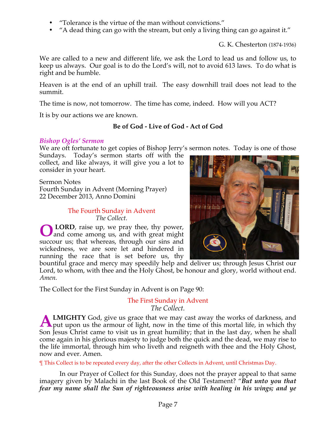- "Tolerance is the virtue of the man without convictions."
- "A dead thing can go with the stream, but only a living thing can go against it."

G. K. Chesterton (1874-1936)

We are called to a new and different life, we ask the Lord to lead us and follow us, to keep us always. Our goal is to do the Lord's will, not to avoid 613 laws. To do what is right and be humble.

Heaven is at the end of an uphill trail. The easy downhill trail does not lead to the summit.

The time is now, not tomorrow. The time has come, indeed. How will you ACT?

It is by our actions we are known.

## **Be of God - Live of God - Act of God**

## *Bishop Ogles' Sermon*

We are oft fortunate to get copies of Bishop Jerry's sermon notes. Today is one of those

Sundays. Today's sermon starts off with the collect, and like always, it will give you a lot to consider in your heart.

Sermon Notes Fourth Sunday in Advent (Morning Prayer) 22 December 2013, Anno Domini

## The Fourth Sunday in Advent *The Collect.*

**LORD**, raise up, we pray thee, thy power, and come among us, and with great might succour us; that whereas, through our sins and wickedness, we are sore let and hindered in running the race that is set before us, thy **O**



bountiful grace and mercy may speedily help and deliver us; through Jesus Christ our Lord, to whom, with thee and the Holy Ghost, be honour and glory, world without end. *Amen.*

The Collect for the First Sunday in Advent is on Page 90:

## The First Sunday in Advent *The Collect.*

**LMIGHTY** God, give us grace that we may cast away the works of darkness, and **A LMIGHTY** God, give us grace that we may cast away the works of darkness, and put upon us the armour of light, now in the time of this mortal life, in which thy Son Jesus Christ came to visit us in great humility; that in the last day, when he shall come again in his glorious majesty to judge both the quick and the dead, we may rise to the life immortal, through him who liveth and reigneth with thee and the Holy Ghost, now and ever. Amen.

¶ This Collect is to be repeated every day, after the other Collects in Advent, until Christmas Day.

 In our Prayer of Collect for this Sunday, does not the prayer appeal to that same imagery given by Malachi in the last Book of the Old Testament? "*But unto you that fear my name shall the Sun of righteousness arise with healing in his wings; and ye*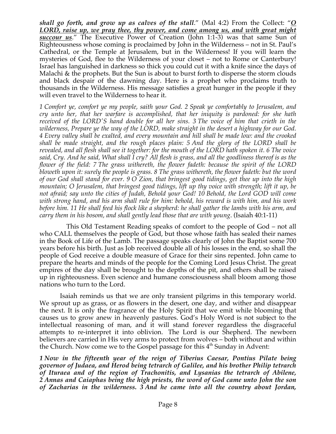*shall go forth, and grow up as calves of the stall*." (Mal 4:2) From the Collect: "*O LORD, raise up, we pray thee, thy power, and come among us, and with great might succour us*." The Executive Power of Creation (John 1:1-3) was that same Sun of Righteousness whose coming is proclaimed by John in the Wilderness – not in St. Paul's Cathedral, or the Temple at Jerusalem, but in the Wilderness! If you will learn the mysteries of God, flee to the Wilderness of your closet – not to Rome or Canterbury! Israel has languished in darkness so thick you could cut it with a knife since the days of Malachi & the prophets. But the Sun is about to burst forth to disperse the storm clouds and black despair of the dawning day. Here is a prophet who proclaims truth to thousands in the Wilderness. His message satisfies a great hunger in the people if they will even travel to the Wilderness to hear it.

*1 Comfort ye, comfort ye my people, saith your God. 2 Speak ye comfortably to Jerusalem, and cry unto her, that her warfare is accomplished, that her iniquity is pardoned: for she hath received of the LORD'S hand double for all her sins. 3 The voice of him that crieth in the wilderness, Prepare ye the way of the LORD, make straight in the desert a highway for our God. 4 Every valley shall be exalted, and every mountain and hill shall be made low: and the crooked shall be made straight, and the rough places plain: 5 And the glory of the LORD shall be revealed, and all flesh shall see it together: for the mouth of the LORD hath spoken it. 6 The voice said, Cry. And he said, What shall I cry? All flesh is grass, and all the goodliness thereof is as the flower of the field: 7 The grass withereth, the flower fadeth: because the spirit of the LORD bloweth upon it: surely the people is grass. 8 The grass withereth, the flower fadeth: but the word of our God shall stand for ever. 9 O Zion, that bringest good tidings, get thee up into the high mountain; O Jerusalem, that bringest good tidings, lift up thy voice with strength; lift it up, be not afraid; say unto the cities of Judah, Behold your God! 10 Behold, the Lord GOD will come with strong hand, and his arm shall rule for him: behold, his reward is with him, and his work before him. 11 He shall feed his flock like a shepherd: he shall gather the lambs with his arm, and carry them in his bosom, and shall gently lead those that are with young*. (Isaiah 40:1-11)

 This Old Testament Reading speaks of comfort to the people of God – not all who CALL themselves the people of God, but those whose faith has sealed their names in the Book of Life of the Lamb. The passage speaks clearly of John the Baptist some 700 years before his birth. Just as Job received double all of his losses in the end, so shall the people of God receive a double measure of Grace for their sins repented. John came to prepare the hearts and minds of the people for the Coming Lord Jesus Christ. The great empires of the day shall be brought to the depths of the pit, and others shall be raised up in righteousness. Even science and humane consciousness shall bloom among those nations who turn to the Lord.

 Isaiah reminds us that we are only transient pilgrims in this temporary world. We sprout up as grass, or as flowers in the desert, one day, and wither and disappear the next. It is only the fragrance of the Holy Spirit that we emit while blooming that causes us to grow anew in heavenly pastures. God's Holy Word is not subject to the intellectual reasoning of man, and it will stand forever regardless the disgraceful attempts to re-interpret it into oblivion. The Lord is our Shepherd. The newborn believers are carried in His very arms to protect from wolves – both without and within the Church. Now come we to the Gospel passage for this  $4<sup>th</sup>$  Sunday in Advent:

*1 Now in the fifteenth year of the reign of Tiberius Caesar, Pontius Pilate being governor of Judaea, and Herod being tetrarch of Galilee, and his brother Philip tetrarch of Ituraea and of the region of Trachonitis, and Lysanias the tetrarch of Abilene, 2 Annas and Caiaphas being the high priests, the word of God came unto John the son of Zacharias in the wilderness. 3 And he came into all the country about Jordan,*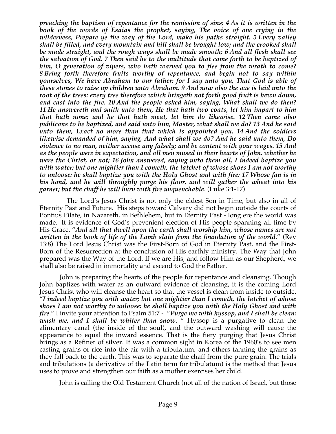*preaching the baptism of repentance for the remission of sins; 4 As it is written in the*  book of the words of Esaias the prophet, saying, The voice of one crying in the *wilderness, Prepare ye the way of the Lord, make his paths straight. 5 Every valley shall be filled, and every mountain and hill shall be brought low; and the crooked shall be made straight, and the rough ways shall be made smooth; 6 And all flesh shall see the salvation of God. 7 Then said he to the multitude that came forth to be baptized of him, O generation of vipers, who hath warned you to flee from the wrath to come? 8 Bring forth therefore fruits worthy of repentance, and begin not to say within yourselves, We have Abraham to our father: for I say unto you, That God is able of these stones to raise up children unto Abraham. 9 And now also the axe is laid unto the root of the trees: every tree therefore which bringeth not forth good fruit is hewn down, and cast into the fire. 10 And the people asked him, saying, What shall we do then? 11 He answereth and saith unto them, He that hath two coats, let him impart to him that hath none; and he that hath meat, let him do likewise. 12 Then came also publicans to be baptized, and said unto him, Master, what shall we do? 13 And he said unto them, Exact no more than that which is appointed you. 14 And the soldiers likewise demanded of him, saying, And what shall we do? And he said unto them, Do violence to no man, neither accuse any falsely; and be content with your wages. 15 And as the people were in expectation, and all men mused in their hearts of John, whether he were the Christ, or not; 16 John answered, saying unto them all, I indeed baptize you with water; but one mightier than I cometh, the latchet of whose shoes I am not worthy to unloose: he shall baptize you with the Holy Ghost and with fire: 17 Whose fan is in his hand, and he will throughly purge his floor, and will gather the wheat into his garner; but the chaff he will burn with fire unquenchable*. (Luke 3:1-17)

 The Lord's Jesus Christ is not only the eldest Son in Time, but also in all of Eternity Past and Future. His steps toward Calvary did not begin outside the courts of Pontius Pilate, in Nazareth, in Bethlehem, but in Eternity Past - long ere the world was made. It is evidence of God's prevenient election of His people spanning all time by His Grace. "*And all that dwell upon the earth shall worship him, whose names are not written in the book of life of the Lamb slain from the foundation of the world*." (Rev 13:8) The Lord Jesus Christ was the First-Born of God in Eternity Past, and the First-Born of the Resurrection at the conclusion of His earthly ministry. The Way that John prepared was the Way of the Lord. If we are His, and follow Him as our Shepherd, we shall also be raised in immortality and ascend to God the Father.

 John is preparing the hearts of the people for repentance and cleansing. Though John baptizes with water as an outward evidence of cleansing, it is the coming Lord Jesus Christ who will cleanse the heart so that the vessel is clean from inside to outside. "*I indeed baptize you with water; but one mightier than I cometh, the latchet of whose shoes I am not worthy to unloose: he shall baptize you with the Holy Ghost and with fire*." I invite your attention to Psalm 51:7 - "*Purge me with hyssop, and I shall be clean: wash me, and I shall be whiter than snow*. " Hyssop is a purgative to clean the alimentary canal (the inside of the soul), and the outward washing will cause the appearance to equal the inward essence. That is the fiery purging that Jesus Christ brings as a Refiner of silver. It was a common sight in Korea of the 1960's to see men casting grains of rice into the air with a tribulatum, and others fanning the grains as they fall back to the earth. This was to separate the chaff from the pure grain. The trials and tribulations (a derivative of the Latin term for tribulatum) is the method that Jesus uses to prove and strengthen our faith as a mother exercises her child.

John is calling the Old Testament Church (not all of the nation of Israel, but those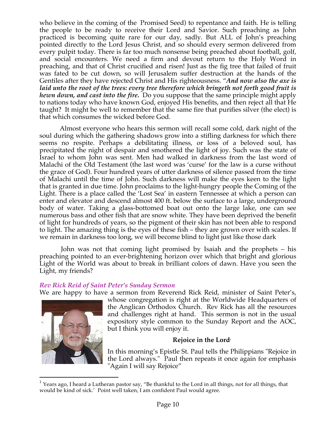who believe in the coming of the Promised Seed) to repentance and faith. He is telling the people to be ready to receive their Lord and Savior. Such preaching as John practiced is becoming quite rare for our day, sadly. But ALL of John's preaching pointed directly to the Lord Jesus Christ, and so should every sermon delivered from every pulpit today. There is far too much nonsense being preached about football, golf, and social encounters. We need a firm and devout return to the Holy Word in preaching, and that of Christ crucified and risen! Just as the fig tree that failed of fruit was fated to be cut down, so will Jerusalem suffer destruction at the hands of the Gentiles after they have rejected Christ and His righteousness. "*And now also the axe is laid unto the root of the trees: every tree therefore which bringeth not forth good fruit is hewn down, and cast into the fire.* Do you suppose that the same principle might apply to nations today who have known God, enjoyed His benefits, and then reject all that He taught? It might be well to remember that the same fire that purifies silver (the elect) is that which consumes the wicked before God.

 Almost everyone who hears this sermon will recall some cold, dark night of the soul during which the gathering shadows grow into a stifling darkness for which there seems no respite. Perhaps a debilitating illness, or loss of a beloved soul, has precipitated the night of despair and smothered the light of joy. Such was the state of Israel to whom John was sent. Men had walked in darkness from the last word of Malachi of the Old Testament (the last word was 'curse' for the law is a curse without the grace of God). Four hundred years of utter darkness of silence passed from the time of Malachi until the time of John. Such darkness will make the eyes keen to the light that is granted in due time. John proclaims to the light-hungry people the Coming of the Light. There is a place called the 'Lost Sea' in eastern Tennessee at which a person can enter and elevator and descend almost 400 ft. below the surface to a large, underground body of water. Taking a glass-bottomed boat out onto the large lake, one can see numerous bass and other fish that are snow white. They have been deprived the benefit of light for hundreds of years, so the pigment of their skin has not been able to respond to light. The amazing thing is the eyes of these fish – they are grown over with scales. If we remain in darkness too long, we will become blind to light just like those dark

 John was not that coming light promised by Isaiah and the prophets – his preaching pointed to an ever-brightening horizon over which that bright and glorious Light of the World was about to break in brilliant colors of dawn. Have you seen the Light, my friends?

#### *Rev Rick Reid of Saint Peter's Sunday Sermon*

We are happy to have a sermon from Reverend Rick Reid, minister of Saint Peter's,



whose congregation is right at the Worldwide Headquarters of the Anglican Orthodox Church. Rev Rick has all the resources and challenges right at hand. This sermon is not in the usual expository style common to the Sunday Report and the AOC, but I think you will enjoy it.

#### **Rejoice in the Lord**<sup>1</sup>

In this morning's Epistle St. Paul tells the Philippians "Rejoice in the Lord always." Paul then repeats it once again for emphasis "Again I will say Rejoice"

<sup>&</sup>lt;sup>1</sup> Years ago, I heard a Lutheran pastor say, "Be thankful to the Lord in all things, not for all things, that would be kind of sick.' Point well taken, I am confident Paul would agree.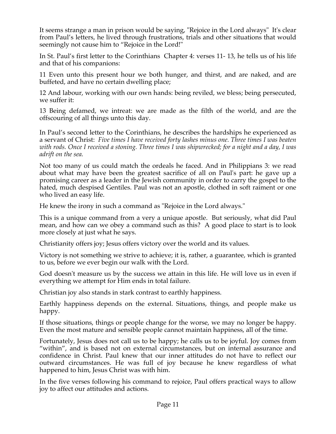It seems strange a man in prison would be saying, "Rejoice in the Lord always" It's clear from Paul's letters, he lived through frustrations, trials and other situations that would seemingly not cause him to "Rejoice in the Lord!"

In St. Paul's first letter to the Corinthians Chapter 4: verses 11- 13, he tells us of his life and that of his companions:

11 Even unto this present hour we both hunger, and thirst, and are naked, and are buffeted, and have no certain dwelling place;

12 And labour, working with our own hands: being reviled, we bless; being persecuted, we suffer it:

13 Being defamed, we intreat: we are made as the filth of the world, and are the offscouring of all things unto this day.

In Paul's second letter to the Corinthians, he describes the hardships he experienced as a servant of Christ: *Five times I have received forty lashes minus one. Three times I was beaten with rods. Once I received a stoning. Three times I was shipwrecked; for a night and a day, I was adrift on the sea.*

Not too many of us could match the ordeals he faced. And in Philippians 3: we read about what may have been the greatest sacrifice of all on Paul's part: he gave up a promising career as a leader in the Jewish community in order to carry the gospel to the hated, much despised Gentiles. Paul was not an apostle, clothed in soft raiment or one who lived an easy life.

He knew the irony in such a command as "Rejoice in the Lord always."

This is a unique command from a very a unique apostle. But seriously, what did Paul mean, and how can we obey a command such as this? A good place to start is to look more closely at just what he says.

Christianity offers joy; Jesus offers victory over the world and its values.

Victory is not something we strive to achieve; it is, rather, a guarantee, which is granted to us, before we ever begin our walk with the Lord.

God doesn't measure us by the success we attain in this life. He will love us in even if everything we attempt for Him ends in total failure.

Christian joy also stands in stark contrast to earthly happiness.

Earthly happiness depends on the external. Situations, things, and people make us happy.

If those situations, things or people change for the worse, we may no longer be happy. Even the most mature and sensible people cannot maintain happiness, all of the time.

Fortunately, Jesus does not call us to be happy; he calls us to be joyful. Joy comes from "within", and is based not on external circumstances, but on internal assurance and confidence in Christ. Paul knew that our inner attitudes do not have to reflect our outward circumstances. He was full of joy because he knew regardless of what happened to him, Jesus Christ was with him.

In the five verses following his command to rejoice, Paul offers practical ways to allow joy to affect our attitudes and actions.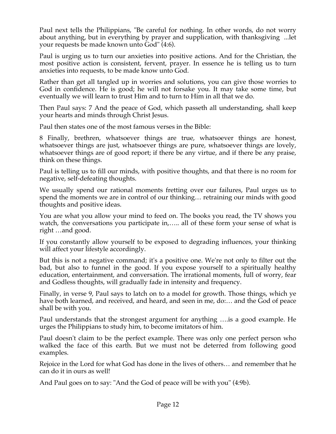Paul next tells the Philippians, "Be careful for nothing. In other words, do not worry about anything, but in everything by prayer and supplication, with thanksgiving ...let your requests be made known unto God" (4:6).

Paul is urging us to turn our anxieties into positive actions. And for the Christian, the most positive action is consistent, fervent, prayer. In essence he is telling us to turn anxieties into requests, to be made know unto God.

Rather than get all tangled up in worries and solutions, you can give those worries to God in confidence. He is good; he will not forsake you. It may take some time, but eventually we will learn to trust Him and to turn to Him in all that we do.

Then Paul says: 7 And the peace of God, which passeth all understanding, shall keep your hearts and minds through Christ Jesus.

Paul then states one of the most famous verses in the Bible:

8 Finally, brethren, whatsoever things are true, whatsoever things are honest, whatsoever things are just, whatsoever things are pure, whatsoever things are lovely, whatsoever things are of good report; if there be any virtue, and if there be any praise, think on these things.

Paul is telling us to fill our minds, with positive thoughts, and that there is no room for negative, self-defeating thoughts.

We usually spend our rational moments fretting over our failures, Paul urges us to spend the moments we are in control of our thinking… retraining our minds with good thoughts and positive ideas.

You are what you allow your mind to feed on. The books you read, the TV shows you watch, the conversations you participate in,..... all of these form your sense of what is right …and good.

If you constantly allow yourself to be exposed to degrading influences, your thinking will affect your lifestyle accordingly.

But this is not a negative command; it's a positive one. We're not only to filter out the bad, but also to funnel in the good. If you expose yourself to a spiritually healthy education, entertainment, and conversation. The irrational moments, full of worry, fear and Godless thoughts, will gradually fade in intensity and frequency.

Finally, in verse 9, Paul says to latch on to a model for growth. Those things, which ye have both learned, and received, and heard, and seen in me, do:… and the God of peace shall be with you.

Paul understands that the strongest argument for anything ….is a good example. He urges the Philippians to study him, to become imitators of him.

Paul doesn't claim to be the perfect example. There was only one perfect person who walked the face of this earth. But we must not be deterred from following good examples.

Rejoice in the Lord for what God has done in the lives of others… and remember that he can do it in ours as well!

And Paul goes on to say: "And the God of peace will be with you" (4:9b).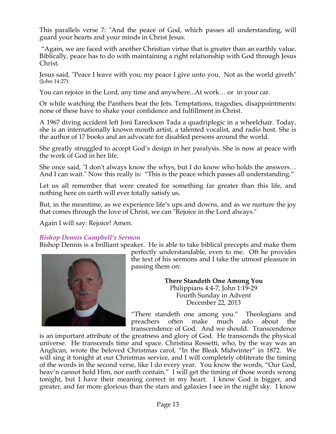This parallels verse 7: "And the peace of God, which passes all understanding, will guard your hearts and your minds in Christ Jesus.

"Again, we are faced with another Christian virtue that is greater than an earthly value. Biblically, peace has to do with maintaining a right relationship with God through Jesus Christ.

Jesus said, "Peace I leave with you; my peace I give unto you. Not as the world giveth" (John 14:27).

You can rejoice in the Lord, any time and anywhere...At work… or in your car.

Or while watching the Panthers beat the Jets. Temptations, tragedies, disappointments: none of these have to shake your confidence and fulfillment in Christ.

A 1967 diving accident left Joni Eareckson Tada a quadriplegic in a wheelchair. Today, she is an internationally known mouth artist, a talented vocalist, and radio host. She is the author of 17 books and an advocate for disabled persons around the world.

She greatly struggled to accept God's design in her paralysis. She is now at peace with the work of God in her life.

She once said, "I don't always know the whys, but I do know who holds the answers… And I can wait." Now this really is: "This is the peace which passes all understanding."

Let us all remember that were created for something far greater than this life, and nothing here on earth will ever totally satisfy us.

But, in the meantime, as we experience life's ups and downs, and as we nurture the joy that comes through the love of Christ, we can "Rejoice in the Lord always."

Again I will say: Rejoice! Amen.

## *Bishop Dennis Campbell's Sermon*

Bishop Dennis is a brilliant speaker. He is able to take biblical precepts and make them



perfectly understandable, even to me. Oft he provides the text of his sermons and I take the utmost pleasure in passing them on:

> **There Standeth One Among You** Philippians 4:4-7, John 1:19-29 Fourth Sunday in Advent December 22, 2013

"There standeth one among you." Theologians and preachers often make much ado about the transcendence of God. And we should. Transcendence

is an important attribute of the greatness and glory of God. He transcends the physical universe. He transcends time and space. Christina Rossetti, who, by the way was an Anglican, wrote the beloved Christmas carol, "In the Bleak Midwinter" in 1872. We will sing it tonight at our Christmas service, and I will completely obliterate the timing of the words in the second verse, like I do every year. You know the words, "Our God, heav'n cannot hold Him, nor earth contain." I will get the timing of those words wrong tonight, but I have their meaning correct in my heart. I know God is bigger, and greater, and far more glorious than the stars and galaxies I see in the night sky. I know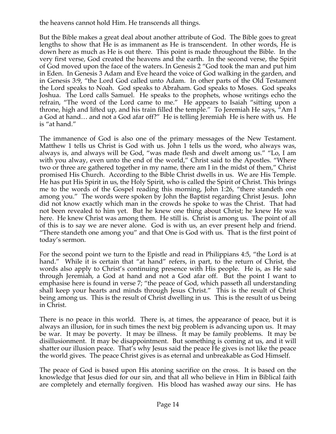the heavens cannot hold Him. He transcends all things.

But the Bible makes a great deal about another attribute of God. The Bible goes to great lengths to show that He is as immanent as He is transcendent. In other words, He is down here as much as He is out there. This point is made throughout the Bible. In the very first verse, God created the heavens and the earth. In the second verse, the Spirit of God moved upon the face of the waters. In Genesis 2 "God took the man and put him in Eden. In Genesis 3 Adam and Eve heard the voice of God walking in the garden, and in Genesis 3:9, "the Lord God called unto Adam. In other parts of the Old Testament the Lord speaks to Noah. God speaks to Abraham. God speaks to Moses. God speaks Joshua. The Lord calls Samuel. He speaks to the prophets, whose writings echo the refrain, "The word of the Lord came to me." He appears to Isaiah "sitting upon a throne, high and lifted up, and his train filled the temple." To Jeremiah He says, "Am I a God at hand… and not a God afar off?" He is telling Jeremiah He is here with us. He is "at hand."

The immanence of God is also one of the primary messages of the New Testament. Matthew 1 tells us Christ is God with us. John 1 tells us the word, who always was, always is, and always will be God, "was made flesh and dwelt among us." "Lo, I am with you alway, even unto the end of the world," Christ said to the Apostles. "Where two or three are gathered together in my name, there am I in the midst of them," Christ promised His Church. According to the Bible Christ dwells in us. We are His Temple. He has put His Spirit in us, the Holy Spirit, who is called the Spirit of Christ. This brings me to the words of the Gospel reading this morning, John 1:26, "there standeth one among you." The words were spoken by John the Baptist regarding Christ Jesus. John did not know exactly which man in the crowds he spoke to was the Christ. That had not been revealed to him yet. But he knew one thing about Christ; he knew He was here. He knew Christ was among them. He still is. Christ is among us. The point of all of this is to say we are never alone. God is with us, an ever present help and friend. "There standeth one among you" and that One is God with us. That is the first point of today's sermon.

For the second point we turn to the Epistle and read in Philippians 4:5, "the Lord is at hand." While it is certain that "at hand" refers, in part, to the return of Christ, the words also apply to Christ's continuing presence with His people. He is, as He said through Jeremiah, a God at hand and not a God afar off. But the point I want to emphasise here is found in verse 7; "the peace of God, which passeth all understanding shall keep your hearts and minds through Jesus Christ." This is the result of Christ being among us. This is the result of Christ dwelling in us. This is the result of us being in Christ.

There is no peace in this world. There is, at times, the appearance of peace, but it is always an illusion, for in such times the next big problem is advancing upon us. It may be war. It may be poverty. It may be illness. It may be family problems. It may be disillusionment. It may be disappointment. But something is coming at us, and it will shatter our illusion peace. That's why Jesus said the peace He gives is not like the peace the world gives. The peace Christ gives is as eternal and unbreakable as God Himself.

The peace of God is based upon His atoning sacrifice on the cross. It is based on the knowledge that Jesus died for our sin, and that all who believe in Him in Biblical faith are completely and eternally forgiven. His blood has washed away our sins. He has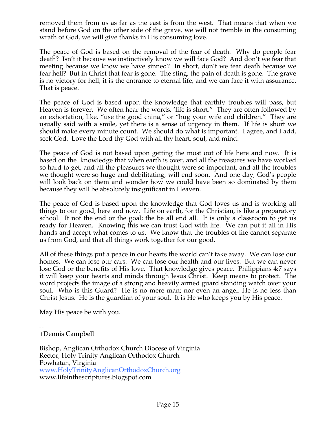removed them from us as far as the east is from the west. That means that when we stand before God on the other side of the grave, we will not tremble in the consuming wrath of God, we will give thanks in His consuming love.

The peace of God is based on the removal of the fear of death. Why do people fear death? Isn't it because we instinctively know we will face God? And don't we fear that meeting because we know we have sinned? In short, don't we fear death because we fear hell? But in Christ that fear is gone. The sting, the pain of death is gone. The grave is no victory for hell, it is the entrance to eternal life, and we can face it with assurance. That is peace.

The peace of God is based upon the knowledge that earthly troubles will pass, but Heaven is forever. We often hear the words, 'life is short." They are often followed by an exhortation, like, "use the good china," or "hug your wife and children." They are usually said with a smile, yet there is a sense of urgency in them. If life is short we should make every minute count. We should do what is important. I agree, and I add, seek God. Love the Lord thy God with all thy heart, soul, and mind.

The peace of God is not based upon getting the most out of life here and now. It is based on the knowledge that when earth is over, and all the treasures we have worked so hard to get, and all the pleasures we thought were so important, and all the troubles we thought were so huge and debilitating, will end soon. And one day, God's people will look back on them and wonder how we could have been so dominated by them because they will be absolutely insignificant in Heaven.

The peace of God is based upon the knowledge that God loves us and is working all things to our good, here and now. Life on earth, for the Christian, is like a preparatory school. It not the end or the goal; the be all end all. It is only a classroom to get us ready for Heaven. Knowing this we can trust God with life. We can put it all in His hands and accept what comes to us. We know that the troubles of life cannot separate us from God, and that all things work together for our good.

All of these things put a peace in our hearts the world can't take away. We can lose our homes. We can lose our cars. We can lose our health and our lives. But we can never lose God or the benefits of His love. That knowledge gives peace. Philippians 4:7 says it will keep your hearts and minds through Jesus Christ. Keep means to protect. The word projects the image of a strong and heavily armed guard standing watch over your soul. Who is this Guard? He is no mere man; nor even an angel. He is no less than Christ Jesus. He is the guardian of your soul. It is He who keeps you by His peace.

May His peace be with you.

-- +Dennis Campbell

Bishop, Anglican Orthodox Church Diocese of Virginia Rector, Holy Trinity Anglican Orthodox Church Powhatan, Virginia www.HolyTrinityAnglicanOrthodoxChurch.org www.lifeinthescriptures.blogspot.com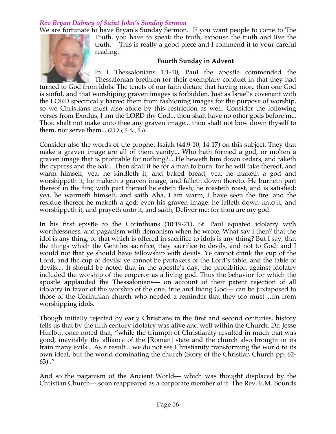## *Rev Bryan Dabney of Saint John's Sunday Sermon*

We are fortunate to have Bryan's Sunday Sermon. If you want people to come to The Truth, you have to speak the truth, expouse the truth and live the truth. This is really a good piece and I commend it to your careful reading.

#### **Fourth Sunday in Advent**

In I Thessalonians 1:1-10, Paul the apostle commended the Thessalonian brethren for their exemplary conduct in that they had turned to God from idols. The tenets of our faith dictate that having more than one God is sinful, and that worshiping graven images is forbidden. Just as Israel's covenant with the LORD specifically barred them from fashioning images for the purpose of worship, so we Christians must also abide by this restriction as well. Consider the following verses from Exodus, I am the LORD thy God... thou shalt have no other gods before me. Thou shalt not make unto thee any graven image... thou shalt not bow down thyself to them, nor serve them... (20:2a, 3-4a, 5a).

Consider also the words of the prophet Isaiah (44:9-10, 14-17) on this subject: They that make a graven image are all of them vanity... Who hath formed a god, or molten a graven image that is profitable for nothing?... He heweth him down cedars, and taketh the cypress and the oak... Then shall it be for a man to burn: for he will take thereof, and warm himself; yea, he kindleth it, and baked bread; yea, he maketh a god and worshippeth it; he maketh a graven image, and falleth down thereto. He burneth part thereof in the fire; with part thereof he eateth flesh; he roasteth roast, and is satisfied: yea, he warmeth himself, and saith Aha, I am warm, I have seen the fire: and the residue thereof he maketh a god, even his graven image: he falleth down unto it, and worshippeth it, and prayeth unto it, and saith, Deliver me; for thou are my god.

In his first epistle to the Corinthians (10:19-21), St. Paul equated idolatry with worthlessness, and paganism with demonism when he wrote, What say I then? that the idol is any thing, or that which is offered in sacrifice to idols is any thing? But I say, that the things which the Gentiles sacrifice, they sacrifice to devils, and not to God: and I would not that ye should have fellowship with devils. Ye cannot drink the cup of the Lord, and the cup of devils: ye cannot be partakers of the Lord's table, and the table of devils.... It should be noted that in the apostle's day, the prohibition against idolatry included the worship of the emperor as a living god. Thus the behavior for which the apostle applauded the Thessalonians— on account of their patent rejection of all idolatry in favor of the worship of the one, true and living God— can be juxtaposed to those of the Corinthian church who needed a reminder that they too must turn from worshipping idols.

Though initially rejected by early Christians in the first and second centuries, history tells us that by the fifth century idolatry was alive and well within the Church. Dr. Jesse Hurlbut once noted that, "while the triumph of Christianity resulted in much that was good, inevitably the alliance of the [Roman] state and the church also brought in its train many evils... As a result... we do not see Christianity transforming the world to its own ideal, but the world dominating the church (Story of the Christian Church pp. 62- 63) ."

And so the paganism of the Ancient World— which was thought displaced by the Christian Church— soon reappeared as a corporate member of it. The Rev. E.M. Bounds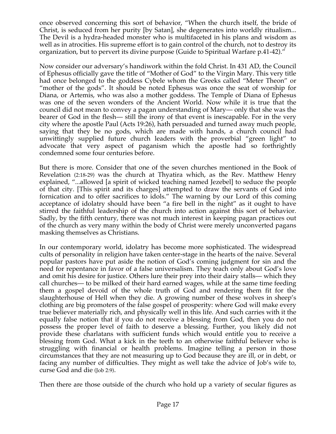once observed concerning this sort of behavior, "When the church itself, the bride of Christ, is seduced from her purity [by Satan], she degenerates into worldly ritualism... The Devil is a hydra-headed monster who is multifaceted in his plans and wisdom as well as in atrocities. His supreme effort is to gain control of the church, not to destroy its organization, but to pervert its divine purpose (Guide to Spiritual Warfare p.41-42)."

Now consider our adversary's handiwork within the fold Christ. In 431 AD, the Council of Ephesus officially gave the title of "Mother of God" to the Virgin Mary. This very title had once belonged to the goddess Cybele whom the Greeks called "Meter Theon" or "mother of the gods". It should be noted Ephesus was once the seat of worship for Diana, or Artemis, who was also a mother goddess. The Temple of Diana of Ephesus was one of the seven wonders of the Ancient World. Now while it is true that the council did not mean to convey a pagan understanding of Mary— only that she was the bearer of God in the flesh— still the irony of that event is inescapable. For in the very city where the apostle Paul (Acts 19:26), hath persuaded and turned away much people, saying that they be no gods, which are made with hands, a church council had unwittingly supplied future church leaders with the proverbial "green light" to advocate that very aspect of paganism which the apostle had so forthrightly condemned some four centuries before.

But there is more. Consider that one of the seven churches mentioned in the Book of Revelation (2:18-29) was the church at Thyatira which, as the Rev. Matthew Henry explained, "...allowed [a spirit of wicked teaching named Jezebel] to seduce the people of that city. [This spirit and its charges] attempted to draw the servants of God into fornication and to offer sacrifices to idols." The warning by our Lord of this coming acceptance of idolatry should have been "a fire bell in the night" as it ought to have stirred the faithful leadership of the church into action against this sort of behavior. Sadly, by the fifth century, there was not much interest in keeping pagan practices out of the church as very many within the body of Christ were merely unconverted pagans masking themselves as Christians.

In our contemporary world, idolatry has become more sophisticated. The widespread cults of personality in religion have taken center-stage in the hearts of the naive. Several popular pastors have put aside the notion of God's coming judgment for sin and the need for repentance in favor of a false universalism. They teach only about God's love and omit his desire for justice. Others lure their prey into their dairy stalls— which they call churches— to be milked of their hard earned wages, while at the same time feeding them a gospel devoid of the whole truth of God and rendering them fit for the slaughterhouse of Hell when they die. A growing number of these wolves in sheep's clothing are big promoters of the false gospel of prosperity: where God will make every true believer materially rich, and physically well in this life. And such carries with it the equally false notion that if you do not receive a blessing from God, then you do not possess the proper level of faith to deserve a blessing. Further, you likely did not provide these charlatans with sufficient funds which would entitle you to receive a blessing from God. What a kick in the teeth to an otherwise faithful believer who is struggling with financial or health problems. Imagine telling a person in those circumstances that they are not measuring up to God because they are ill, or in debt, or facing any number of difficulties. They might as well take the advice of Job's wife to, curse God and die (Job 2:9).

Then there are those outside of the church who hold up a variety of secular figures as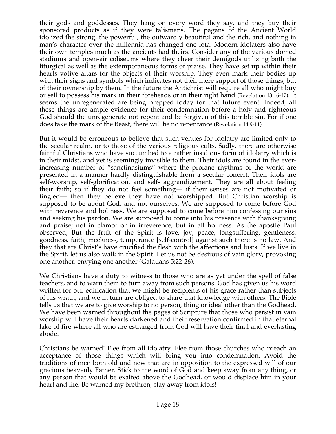their gods and goddesses. They hang on every word they say, and they buy their sponsored products as if they were talismans. The pagans of the Ancient World idolized the strong, the powerful, the outwardly beautiful and the rich, and nothing in man's character over the millennia has changed one iota. Modern idolaters also have their own temples much as the ancients had theirs. Consider any of the various domed stadiums and open-air coliseums where they cheer their demigods utilizing both the liturgical as well as the extemporaneous forms of praise. They have set up within their hearts votive altars for the objects of their worship. They even mark their bodies up with their signs and symbols which indicates not their mere support of those things, but of their ownership by them. In the future the Antichrist will require all who might buy or sell to possess his mark in their foreheads or in their right hand (Revelation 13:16-17). It seems the unregenerated are being prepped today for that future event. Indeed, all these things are ample evidence for their condemnation before a holy and righteous God should the unregenerate not repent and be forgiven of this terrible sin. For if one does take the mark of the Beast, there will be no repentance (Revelation 14:9-11).

But it would be erroneous to believe that such venues for idolatry are limited only to the secular realm, or to those of the various religious cults. Sadly, there are otherwise faithful Christians who have succumbed to a rather insidious form of idolatry which is in their midst, and yet is seemingly invisible to them. Their idols are found in the everincreasing number of "sanctinasiums" where the profane rhythms of the world are presented in a manner hardly distinguishable from a secular concert. Their idols are self-worship, self-glorification, and self- aggrandizement. They are all about feeling their faith; so if they do not feel something— if their senses are not motivated or tingled— then they believe they have not worshipped. But Christian worship is supposed to be about God, and not ourselves. We are supposed to come before God with reverence and holiness. We are supposed to come before him confessing our sins and seeking his pardon. We are supposed to come into his presence with thanksgiving and praise; not in clamor or in irreverence, but in all holiness. As the apostle Paul observed, But the fruit of the Spirit is love, joy, peace, longsuffering, gentleness, goodness, faith, meekness, temperance [self-control] against such there is no law. And they that are Christ's have crucified the flesh with the affections and lusts. If we live in the Spirit, let us also walk in the Spirit. Let us not be desirous of vain glory, provoking one another, envying one another (Galatians 5:22-26).

We Christians have a duty to witness to those who are as yet under the spell of false teachers, and to warn them to turn away from such persons. God has given us his word written for our edification that we might be recipients of his grace rather than subjects of his wrath, and we in turn are obliged to share that knowledge with others. The Bible tells us that we are to give worship to no person, thing or ideal other than the Godhead. We have been warned throughout the pages of Scripture that those who persist in vain worship will have their hearts darkened and their reservation confirmed in that eternal lake of fire where all who are estranged from God will have their final and everlasting abode.

Christians be warned! Flee from all idolatry. Flee from those churches who preach an acceptance of those things which will bring you into condemnation. Avoid the traditions of men both old and new that are in opposition to the expressed will of our gracious heavenly Father. Stick to the word of God and keep away from any thing, or any person that would be exalted above the Godhead, or would displace him in your heart and life. Be warned my brethren, stay away from idols!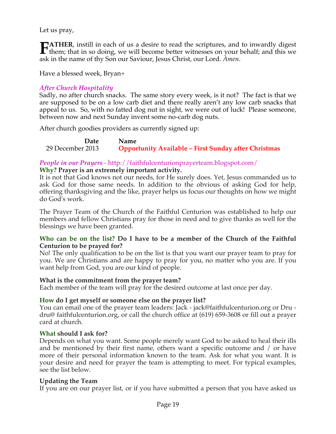Let us pray,

**ATHER**, instill in each of us a desire to read the scriptures, and to inwardly digest **FATHER**, instill in each of us a desire to read the scriptures, and to inwardly digest them; that in so doing, we will become better witnesses on your behalf; and this we ask in the name of thy Son our Saviour, Jesus Christ, our Lord. *Amen*.

Have a blessed week, Bryan+

## *After Church Hospitality*

Sadly, no after church snacks. The same story every week, is it not? The fact is that we are supposed to be on a low carb diet and there really aren't any low carb snacks that appeal to us. So, with no fatted dog nut in sight, we were out of luck! Please someone, between now and next Sunday invent some no-carb dog nuts.

After church goodies providers as currently signed up:

**Date Name** 29 December 2013 **Opportunity Available – First Sunday after Christmas**

## *People in our Prayers* - http://faithfulcenturionprayerteam.blogspot.com/

## **Why? Prayer is an extremely important activity.**

It is not that God knows not our needs, for He surely does. Yet, Jesus commanded us to ask God for those same needs. In addition to the obvious of asking God for help, offering thanksgiving and the like, prayer helps us focus our thoughts on how we might do God's work.

The Prayer Team of the Church of the Faithful Centurion was established to help our members and fellow Christians pray for those in need and to give thanks as well for the blessings we have been granted.

#### **Who can be on the list? Do I have to be a member of the Church of the Faithful Centurion to be prayed for?**

No! The only qualification to be on the list is that you want our prayer team to pray for you. We are Christians and are happy to pray for you, no matter who you are. If you want help from God, you are our kind of people.

#### **What is the commitment from the prayer team?**

Each member of the team will pray for the desired outcome at last once per day.

## **How do I get myself or someone else on the prayer list?**

You can email one of the prayer team leaders: Jack - jack@faithfulcenturion.org or Dru dru@ faithfulcenturion.org, or call the church office at (619) 659-3608 or fill out a prayer card at church.

#### **What should I ask for?**

Depends on what you want. Some people merely want God to be asked to heal their ills and be mentioned by their first name, others want a specific outcome and / or have more of their personal information known to the team. Ask for what you want. It is your desire and need for prayer the team is attempting to meet. For typical examples, see the list below.

## **Updating the Team**

If you are on our prayer list, or if you have submitted a person that you have asked us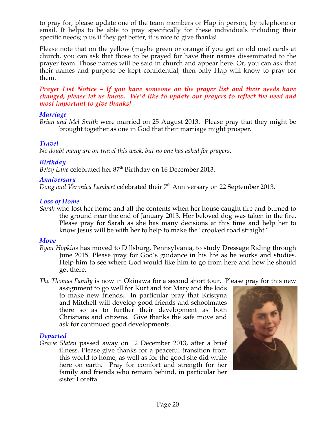to pray for, please update one of the team members or Hap in person, by telephone or email. It helps to be able to pray specifically for these individuals including their specific needs; plus if they get better, it is nice to give thanks!

Please note that on the yellow (maybe green or orange if you get an old one) cards at church, you can ask that those to be prayed for have their names disseminated to the prayer team. Those names will be said in church and appear here. Or, you can ask that their names and purpose be kept confidential, then only Hap will know to pray for them.

#### *Prayer List Notice – If you have someone on the prayer list and their needs have changed, please let us know. We'd like to update our prayers to reflect the need and most important to give thanks!*

#### *Marriage*

*Brian and Mel Smith* were married on 25 August 2013. Please pray that they might be brought together as one in God that their marriage might prosper.

## *Travel*

*No doubt many are on travel this week, but no one has asked for prayers*.

## *Birthday*

*Betsy Lane* celebrated her 87<sup>th</sup> Birthday on 16 December 2013.

## *Anniversary*

*Doug and Veronica Lambert celebrated their* 7<sup>th</sup> Anniversary on 22 September 2013.

## *Loss of Home*

*Sarah* who lost her home and all the contents when her house caught fire and burned to the ground near the end of January 2013. Her beloved dog was taken in the fire. Please pray for Sarah as she has many decisions at this time and help her to know Jesus will be with her to help to make the "crooked road straight."

## *Move*

- *Ryan Hopkins* has moved to Dillsburg, Pennsylvania, to study Dressage Riding through June 2015. Please pray for God's guidance in his life as he works and studies. Help him to see where God would like him to go from here and how he should get there.
- *The Thomas Family* is now in Okinawa for a second short tour. Please pray for this new

assignment to go well for Kurt and for Mary and the kids to make new friends. In particular pray that Kristyna and Mitchell will develop good friends and schoolmates there so as to further their development as both Christians and citizens. Give thanks the safe move and ask for continued good developments.

#### *Departed*

*Gracie Slaten* passed away on 12 December 2013, after a brief illness. Please give thanks for a peaceful transition from this world to home, as well as for the good she did while here on earth. Pray for comfort and strength for her family and friends who remain behind, in particular her sister Loretta.

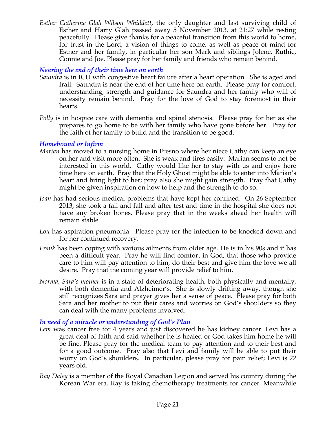*Esther Catherine Glah Wilson Whiddett*, the only daughter and last surviving child of Esther and Harry Glah passed away 5 November 2013, at 21:27 while resting peacefully. Please give thanks for a peaceful transition from this world to home, for trust in the Lord, a vision of things to come, as well as peace of mind for Esther and her family, in particular her son Mark and siblings Jolene, Ruthie, Connie and Joe. Please pray for her family and friends who remain behind.

## *Nearing the end of their time here on earth*

- *Saundra* is in ICU with congestive heart failure after a heart operation. She is aged and frail. Saundra is near the end of her time here on earth. Please pray for comfort, understanding, strength and guidance for Saundra and her family who will of necessity remain behind. Pray for the love of God to stay foremost in their hearts.
- *Polly* is in hospice care with dementia and spinal stenosis. Please pray for her as she prepares to go home to be with her family who have gone before her. Pray for the faith of her family to build and the transition to be good.

## *Homebound or Infirm*

- *Marian* has moved to a nursing home in Fresno where her niece Cathy can keep an eye on her and visit more often. She is weak and tires easily. Marian seems to not be interested in this world. Cathy would like her to stay with us and enjoy here time here on earth. Pray that the Holy Ghost might be able to enter into Marian's heart and bring light to her; pray also she might gain strength. Pray that Cathy might be given inspiration on how to help and the strength to do so.
- *Joan* has had serious medical problems that have kept her confined. On 26 September 2013, she took a fall and fall and after test and time in the hospital she does not have any broken bones. Please pray that in the weeks ahead her health will remain stable
- *Lou* has aspiration pneumonia. Please pray for the infection to be knocked down and for her continued recovery.
- *Frank* has been coping with various ailments from older age. He is in his 90s and it has been a difficult year. Pray he will find comfort in God, that those who provide care to him will pay attention to him, do their best and give him the love we all desire. Pray that the coming year will provide relief to him.
- *Norma, Sara's mother* is in a state of deteriorating health, both physically and mentally, with both dementia and Alzheimer's. She is slowly drifting away, though she still recognizes Sara and prayer gives her a sense of peace. Please pray for both Sara and her mother to put their cares and worries on God's shoulders so they can deal with the many problems involved.

## *In need of a miracle or understanding of God's Plan*

- Levi was cancer free for 4 years and just discovered he has kidney cancer. Levi has a great deal of faith and said whether he is healed or God takes him home he will be fine. Please pray for the medical team to pay attention and to their best and for a good outcome. Pray also that Levi and family will be able to put their worry on God's shoulders. In particular, please pray for pain relief; Levi is 22 years old.
- *Ray Daley* is a member of the Royal Canadian Legion and served his country during the Korean War era. Ray is taking chemotherapy treatments for cancer. Meanwhile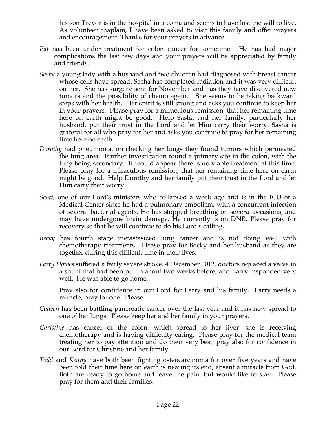his son Trevor is in the hospital in a coma and seems to have lost the will to live. As volunteer chaplain, I have been asked to visit this family and offer prayers and encouragement. Thanks for your prayers in advance*.*

- *Pat* has been under treatment for colon cancer for sometime. He has had major complications the last few days and your prayers will be appreciated by family and friends.
- *Sasha* a young lady with a husband and two children had diagnosed with breast cancer whose cells have spread. Sasha has completed radiation and it was very difficult on her. She has surgery sent for November and has they have discovered new tumors and the possibility of chemo again. She seems to be taking backward steps with her health. Her spirit is still strong and asks you continue to keep her in your prayers. Please pray for a miraculous remission; that her remaining time here on earth might be good. Help Sasha and her family, particularly her husband, put their trust in the Lord and let Him carry their worry. Sasha is grateful for all who pray for her and asks you continue to pray for her remaining time here on earth.
- *Dorothy* had pneumonia, on checking her lungs they found tumors which permeated the lung area. Further investigation found a primary site in the colon, with the lung being secondary. It would appear there is no viable treatment at this time. Please pray for a miraculous remission; that her remaining time here on earth might be good. Help Dorothy and her family put their trust in the Lord and let Him carry their worry.
- *Scott,* one of our Lord's ministers who collapsed a week ago and is in the ICU of a Medical Center since he had a pulmonary embolism, with a concurrent infection of several bacterial agents. He has stopped breathing on several occasions, and may have undergone brain damage. He currently is on DNR. Please pray for recovery so that he will continue to do his Lord's calling*.*
- *Becky* has fourth stage metastasized lung cancer and is not doing well with chemotherapy treatments. Please pray for Becky and her husband as they are together during this difficult time in their lives.
- *Larry Howes* suffered a fairly severe stroke. 4 December 2012, doctors replaced a valve in a shunt that had been put in about two weeks before, and Larry responded very well. He was able to go home.

Pray also for confidence in our Lord for Larry and his family. Larry needs a miracle, pray for one. Please.

- *Colleen* has been battling pancreatic cancer over the last year and it has now spread to one of her lungs. Please keep her and her family in your prayers.
- *Christine* has cancer of the colon, which spread to her liver; she is receiving chemotherapy and is having difficulty eating. Please pray for the medical team treating her to pay attention and do their very best; pray also for confidence in our Lord for Christine and her family.
- *Todd* and *Kenny* have both been fighting osteocarcinoma for over five years and have been told their time here on earth is nearing its end, absent a miracle from God. Both are ready to go home and leave the pain, but would like to stay. Please pray for them and their families.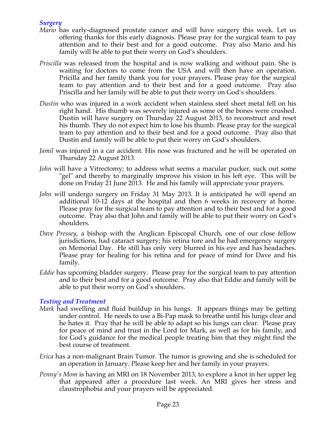## *Surgery*

- *Mario* has early-diagnosed prostate cancer and will have surgery this week. Let us offering thanks for this early diagnosis. Please pray for the surgical team to pay attention and to their best and for a good outcome. Pray also Mario and his family will be able to put their worry on God's shoulders.
- *Priscilla* was released from the hospital and is now walking and without pain. She is waiting for doctors to come from the USA and will then have an operation. Pricilla and her family thank you for your prayers. Please pray for the surgical team to pay attention and to their best and for a good outcome. Pray also Priscilla and her family will be able to put their worry on God's shoulders.
- *Dustin* who was injured in a work accident when stainless steel sheet metal fell on his right hand. His thumb was severely injured as some of the bones were crushed. Dustin will have surgery on Thursday 22 August 2013, to reconstruct and reset his thumb. They do not expect him to lose his thumb. Please pray for the surgical team to pay attention and to their best and for a good outcome. Pray also that Dustin and family will be able to put their worry on God's shoulders.
- *Jamil* was injured in a car accident. His nose was fractured and he will be operated on Thursday 22 August 2013.
- *John* will have a Vitrectomy; to address what seems a macular pucker, suck out some "gel" and thereby to marginally improve his vision in his left eye. This will be done on Friday 21 June 2013. He and his family will appreciate your prayers.
- *John* will undergo surgery on Friday 31 May 2013. It is anticipated he will spend an additional 10-12 days at the hospital and then 6 weeks in recovery at home. Please pray for the surgical team to pay attention and to their best and for a good outcome. Pray also that John and family will be able to put their worry on God's shoulders.
- *Dave Pressey*, a bishop with the Anglican Episcopal Church, one of our close fellow jurisdictions, had cataract surgery; his retina tore and he had emergency surgery on Memorial Day. He still has only very blurred in his eye and has headaches. Please pray for healing for his retina and for peace of mind for Dave and his family.
- *Eddie* has upcoming bladder surgery. Please pray for the surgical team to pay attention and to their best and for a good outcome. Pray also that Eddie and family will be able to put their worry on God's shoulders.

#### *Testing and Treatment*

- *Mark* had swelling and fluid buildup in his lungs. It appears things may be getting under control. He needs to use a Bi-Pap mask to breathe until his lungs clear and he hates it. Pray that he will be able to adapt so his lungs can clear. Please pray for peace of mind and trust in the Lord for Mark, as well as for his family, and for God's guidance for the medical people treating him that they might find the best course of treatment.
- *Erica* has a non-malignant Brain Tumor. The tumor is growing and she is scheduled for an operation in January. Please keep her and her family in your prayers.
- *Penny's Mom* is having an MRI on 18 November 2013, to explore a knot in her upper leg that appeared after a procedure last week. An MRI gives her stress and claustrophobia and your prayers will be appreciated.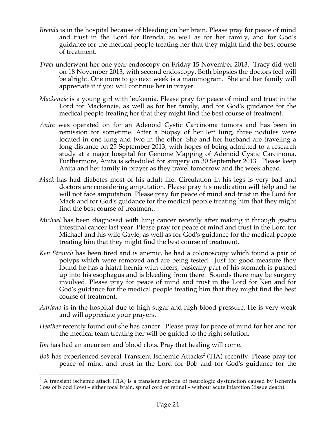- *Brenda* is in the hospital because of bleeding on her brain. Please pray for peace of mind and trust in the Lord for Brenda, as well as for her family, and for God's guidance for the medical people treating her that they might find the best course of treatment.
- *Traci* underwent her one year endoscopy on Friday 15 November 2013. Tracy did well on 18 November 2013, with second endoscopy. Both biopsies the doctors feel will be alright. One more to go next week is a mammogram. She and her family will appreciate it if you will continue her in prayer.
- *Mackenzie* is a young girl with leukemia. Please pray for peace of mind and trust in the Lord for Mackenzie, as well as for her family, and for God's guidance for the medical people treating her that they might find the best course of treatment.
- *Anita* was operated on for an Adenoid Cystic Carcinoma tumors and has been in remission for sometime. After a biopsy of her left lung, three nodules were located in one lung and two in the other. She and her husband are traveling a long distance on 25 September 2013, with hopes of being admitted to a research study at a major hospital for Genome Mapping of Adenoid Cystic Carcinoma. Furthermore, Anita is scheduled for surgery on 30 September 2013. Please keep Anita and her family in prayer as they travel tomorrow and the week ahead.
- *Mack* has had diabetes most of his adult life. Circulation in his legs is very bad and doctors are considering amputation. Please pray his medication will help and he will not face amputation. Please pray for peace of mind and trust in the Lord for Mack and for God's guidance for the medical people treating him that they might find the best course of treatment.
- *Michael* has been diagnosed with lung cancer recently after making it through gastro intestinal cancer last year. Please pray for peace of mind and trust in the Lord for Michael and his wife Gayle; as well as for God's guidance for the medical people treating him that they might find the best course of treatment.
- *Ken Strauch* has been tired and is anemic, he had a colonoscopy which found a pair of polyps which were removed and are being tested. Just for good measure they found he has a hiatal hernia with ulcers, basically part of his stomach is pushed up into his esophagus and is bleeding from there. Sounds there may be surgery involved. Please pray for peace of mind and trust in the Lord for Ken and for God's guidance for the medical people treating him that they might find the best course of treatment.
- *Adriano* is in the hospital due to high sugar and high blood pressure. He is very weak and will appreciate your prayers.
- *Heather* recently found out she has cancer. Please pray for peace of mind for her and for the medical team treating her will be guided to the right solution.
- *Jim* has had an aneurism and blood clots. Pray that healing will come.
- *Bob* has experienced several Transient Ischemic Attacks<sup>2</sup> (TIA) recently. Please pray for peace of mind and trust in the Lord for Bob and for God's guidance for the

 $2^2$  A transient ischemic attack (TIA) is a transient episode of neurologic dysfunction caused by ischemia (loss of blood flow) – either focal brain, spinal cord or retinal – without acute infarction (tissue death).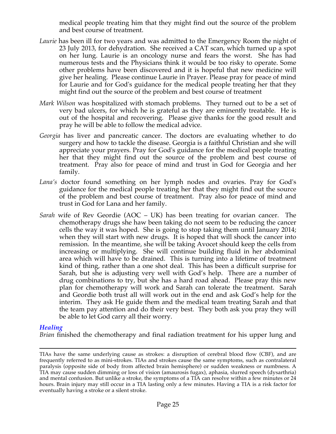medical people treating him that they might find out the source of the problem and best course of treatment.

- *Laurie* has been ill for two years and was admitted to the Emergency Room the night of 23 July 2013, for dehydration. She received a CAT scan, which turned up a spot on her lung. Laurie is an oncology nurse and fears the worst. She has had numerous tests and the Physicians think it would be too risky to operate. Some other problems have been discovered and it is hopeful that new medicine will give her healing. Please continue Laurie in Prayer. Please pray for peace of mind for Laurie and for God's guidance for the medical people treating her that they might find out the source of the problem and best course of treatment
- *Mark Wilson* was hospitalized with stomach problems. They turned out to be a set of very bad ulcers, for which he is grateful as they are eminently treatable. He is out of the hospital and recovering. Please give thanks for the good result and pray he will be able to follow the medical advice.
- *Georgia* has liver and pancreatic cancer. The doctors are evaluating whether to do surgery and how to tackle the disease. Georgia is a faithful Christian and she will appreciate your prayers. Pray for God's guidance for the medical people treating her that they might find out the source of the problem and best course of treatment. Pray also for peace of mind and trust in God for Georgia and her family.
- *Lana's* doctor found something on her lymph nodes and ovaries. Pray for God's guidance for the medical people treating her that they might find out the source of the problem and best course of treatment. Pray also for peace of mind and trust in God for Lana and her family.
- *Sarah* wife of Rev Geordie (AOC UK) has been treating for ovarian cancer. The chemotherapy drugs she haw been taking do not seem to be reducing the cancer cells the way it was hoped. She is going to stop taking them until January 2014; when they will start with new drugs. It is hoped that will shock the cancer into remission. In the meantime, she will be taking Avocet should keep the cells from increasing or multiplying. She will continue building fluid in her abdominal area which will have to be drained. This is turning into a lifetime of treatment kind of thing, rather than a one shot deal. This has been a difficult surprise for Sarah, but she is adjusting very well with God's help. There are a number of drug combinations to try, but she has a hard road ahead. Please pray this new plan for chemotherapy will work and Sarah can tolerate the treatment. Sarah and Geordie both trust all will work out in the end and ask God's help for the interim. They ask He guide them and the medical team treating Sarah and that the team pay attention and do their very best. They both ask you pray they will be able to let God carry all their worry.

#### *Healing*

*Brian* finished the chemotherapy and final radiation treatment for his upper lung and

TIAs have the same underlying cause as strokes: a disruption of cerebral blood flow (CBF), and are frequently referred to as mini-strokes. TIAs and strokes cause the same symptoms, such as contralateral paralysis (opposite side of body from affected brain hemisphere) or sudden weakness or numbness. A TIA may cause sudden dimming or loss of vision (amaurosis fugax), aphasia, slurred speech (dysarthria) and mental confusion. But unlike a stroke, the symptoms of a TIA can resolve within a few minutes or 24 hours. Brain injury may still occur in a TIA lasting only a few minutes. Having a TIA is a risk factor for eventually having a stroke or a silent stroke.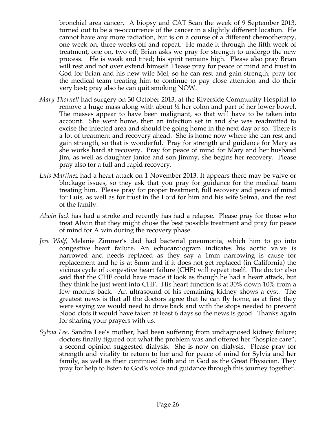bronchial area cancer. A biopsy and CAT Scan the week of 9 September 2013, turned out to be a re-occurrence of the cancer in a slightly different location. He cannot have any more radiation, but is on a course of a different chemotherapy, one week on, three weeks off and repeat. He made it through the fifth week of treatment, one on, two off; Brian asks we pray for strength to undergo the new process. He is weak and tired; his spirit remains high. Please also pray Brian will rest and not over extend himself. Please pray for peace of mind and trust in God for Brian and his new wife Mel, so he can rest and gain strength; pray for the medical team treating him to continue to pay close attention and do their very best; pray also he can quit smoking NOW.

- *Mary Thornell* had surgery on 30 October 2013, at the Riverside Community Hospital to remove a huge mass along with about ½ her colon and part of her lower bowel. The masses appear to have been malignant, so that will have to be taken into account. She went home, then an infection set in and she was readmitted to excise the infected area and should be going home in the next day or so. There is a lot of treatment and recovery ahead. She is home now where she can rest and gain strength, so that is wonderful. Pray for strength and guidance for Mary as she works hard at recovery. Pray for peace of mind for Mary and her husband Jim, as well as daughter Janice and son Jimmy, she begins her recovery. Please pray also for a full and rapid recovery.
- *Luis Martinez* had a heart attack on 1 November 2013. It appears there may be valve or blockage issues, so they ask that you pray for guidance for the medical team treating him. Please pray for proper treatment, full recovery and peace of mind for Luis, as well as for trust in the Lord for him and his wife Selma, and the rest of the family.
- *Alwin Jack* has had a stroke and recently has had a relapse. Please pray for those who treat Alwin that they might chose the best possible treatment and pray for peace of mind for Alwin during the recovery phase.
- *Jere Wolf*, Melanie Zimmer's dad had bacterial pneumonia, which him to go into congestive heart failure. An echocardiogram indicates his aortic valve is narrowed and needs replaced as they say a 1mm narrowing is cause for replacement and he is at 8mm and if it does not get replaced (in California) the vicious cycle of congestive heart failure (CHF) will repeat itself. The doctor also said that the CHF could have made it look as though he had a heart attack, but they think he just went into CHF. His heart function is at 30% down 10% from a few months back. An ultrasound of his remaining kidney shows a cyst. The greatest news is that all the doctors agree that he can fly home, as at first they were saying we would need to drive back and with the stops needed to prevent blood clots it would have taken at least 6 days so the news is good. Thanks again for sharing your prayers with us.
- *Sylvia Lee,* Sandra Lee's mother, had been suffering from undiagnosed kidney failure; doctors finally figured out what the problem was and offered her "hospice care", a second opinion suggested dialysis. She is now on dialysis. Please pray for strength and vitality to return to her and for peace of mind for Sylvia and her family, as well as their continued faith and in God as the Great Physician. They pray for help to listen to God's voice and guidance through this journey together.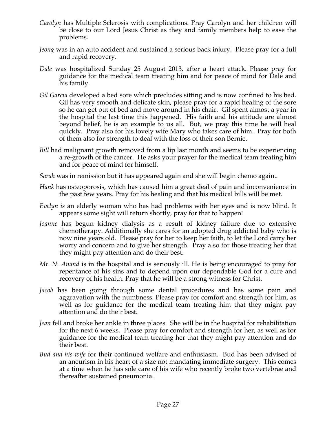- *Carolyn* has Multiple Sclerosis with complications. Pray Carolyn and her children will be close to our Lord Jesus Christ as they and family members help to ease the problems.
- *Jeong* was in an auto accident and sustained a serious back injury. Please pray for a full and rapid recovery.
- *Dale* was hospitalized Sunday 25 August 2013, after a heart attack. Please pray for guidance for the medical team treating him and for peace of mind for Dale and his family.
- *Gil Garcia* developed a bed sore which precludes sitting and is now confined to his bed. Gil has very smooth and delicate skin, please pray for a rapid healing of the sore so he can get out of bed and move around in his chair. Gil spent almost a year in the hospital the last time this happened. His faith and his attitude are almost beyond belief, he is an example to us all. But, we pray this time he will heal quickly. Pray also for his lovely wife Mary who takes care of him. Pray for both of them also for strength to deal with the loss of their son Bernie.
- *Bill* had malignant growth removed from a lip last month and seems to be experiencing a re-growth of the cancer. He asks your prayer for the medical team treating him and for peace of mind for himself.
- *Sarah* was in remission but it has appeared again and she will begin chemo again..
- *Hank* has osteoporosis, which has caused him a great deal of pain and inconvenience in the past few years. Pray for his healing and that his medical bills will be met.
- *Evelyn is* an elderly woman who has had problems with her eyes and is now blind. It appears some sight will return shortly, pray for that to happen!
- *Joanne* has begun kidney dialysis as a result of kidney failure due to extensive chemotherapy. Additionally she cares for an adopted drug addicted baby who is now nine years old. Please pray for her to keep her faith, to let the Lord carry her worry and concern and to give her strength. Pray also for those treating her that they might pay attention and do their best.
- *Mr. N. Anand* is in the hospital and is seriously ill. He is being encouraged to pray for repentance of his sins and to depend upon our dependable God for a cure and recovery of his health. Pray that he will be a strong witness for Christ.
- *Jacob* has been going through some dental procedures and has some pain and aggravation with the numbness. Please pray for comfort and strength for him, as well as for guidance for the medical team treating him that they might pay attention and do their best.
- *Jean* fell and broke her ankle in three places. She will be in the hospital for rehabilitation for the next 6 weeks. Please pray for comfort and strength for her, as well as for guidance for the medical team treating her that they might pay attention and do their best.
- *Bud and his wife* for their continued welfare and enthusiasm. Bud has been advised of an aneurism in his heart of a size not mandating immediate surgery. This comes at a time when he has sole care of his wife who recently broke two vertebrae and thereafter sustained pneumonia.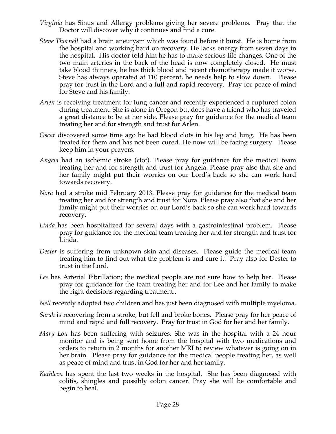- *Virginia* has Sinus and Allergy problems giving her severe problems. Pray that the Doctor will discover why it continues and find a cure.
- *Steve Thornell* had a brain aneurysm which was found before it burst. He is home from the hospital and working hard on recovery. He lacks energy from seven days in the hospital. His doctor told him he has to make serious life changes. One of the two main arteries in the back of the head is now completely closed. He must take blood thinners, he has thick blood and recent chemotherapy made it worse. Steve has always operated at 110 percent, he needs help to slow down. Please pray for trust in the Lord and a full and rapid recovery. Pray for peace of mind for Steve and his family.
- *Arlen* is receiving treatment for lung cancer and recently experienced a ruptured colon during treatment. She is alone in Oregon but does have a friend who has traveled a great distance to be at her side. Please pray for guidance for the medical team treating her and for strength and trust for Arlen.
- *Oscar* discovered some time ago he had blood clots in his leg and lung. He has been treated for them and has not been cured. He now will be facing surgery. Please keep him in your prayers.
- *Angela* had an ischemic stroke (clot). Please pray for guidance for the medical team treating her and for strength and trust for Angela. Please pray also that she and her family might put their worries on our Lord's back so she can work hard towards recovery.
- *Nora* had a stroke mid February 2013. Please pray for guidance for the medical team treating her and for strength and trust for Nora. Please pray also that she and her family might put their worries on our Lord's back so she can work hard towards recovery.
- *Linda* has been hospitalized for several days with a gastrointestinal problem. Please pray for guidance for the medical team treating her and for strength and trust for Linda.
- *Dester* is suffering from unknown skin and diseases. Please guide the medical team treating him to find out what the problem is and cure it. Pray also for Dester to trust in the Lord.
- *Lee* has Arterial Fibrillation; the medical people are not sure how to help her. Please pray for guidance for the team treating her and for Lee and her family to make the right decisions regarding treatment..
- *Nell* recently adopted two children and has just been diagnosed with multiple myeloma.
- *Sarah* is recovering from a stroke, but fell and broke bones. Please pray for her peace of mind and rapid and full recovery. Pray for trust in God for her and her family.
- *Mary Lou* has been suffering with seizures. She was in the hospital with a 24 hour monitor and is being sent home from the hospital with two medications and orders to return in 2 months for another MRI to review whatever is going on in her brain. Please pray for guidance for the medical people treating her, as well as peace of mind and trust in God for her and her family.
- *Kathleen* has spent the last two weeks in the hospital. She has been diagnosed with colitis, shingles and possibly colon cancer. Pray she will be comfortable and begin to heal.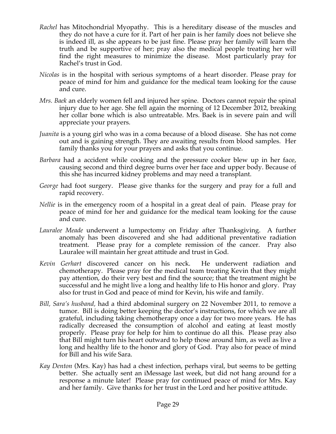- *Rachel* has Mitochondrial Myopathy. This is a hereditary disease of the muscles and they do not have a cure for it. Part of her pain is her family does not believe she is indeed ill, as she appears to be just fine. Please pray her family will learn the truth and be supportive of her; pray also the medical people treating her will find the right measures to minimize the disease. Most particularly pray for Rachel's trust in God.
- *Nicolas* is in the hospital with serious symptoms of a heart disorder. Please pray for peace of mind for him and guidance for the medical team looking for the cause and cure.
- *Mrs. Baek* an elderly women fell and injured her spine. Doctors cannot repair the spinal injury due to her age. She fell again the morning of 12 December 2012, breaking her collar bone which is also untreatable. Mrs. Baek is in severe pain and will appreciate your prayers.
- *Juanita* is a young girl who was in a coma because of a blood disease. She has not come out and is gaining strength. They are awaiting results from blood samples. Her family thanks you for your prayers and asks that you continue.
- *Barbara* had a accident while cooking and the pressure cooker blew up in her face, causing second and third degree burns over her face and upper body. Because of this she has incurred kidney problems and may need a transplant.
- *George* had foot surgery. Please give thanks for the surgery and pray for a full and rapid recovery.
- *Nellie* is in the emergency room of a hospital in a great deal of pain. Please pray for peace of mind for her and guidance for the medical team looking for the cause and cure.
- *Lauralee Meade* underwent a lumpectomy on Friday after Thanksgiving. A further anomaly has been discovered and she had additional preventative radiation treatment. Please pray for a complete remission of the cancer. Pray also Lauralee will maintain her great attitude and trust in God.
- *Kevin Gerhart* discovered cancer on his neck. He underwent radiation and chemotherapy. Please pray for the medical team treating Kevin that they might pay attention, do their very best and find the source; that the treatment might be successful and he might live a long and healthy life to His honor and glory. Pray also for trust in God and peace of mind for Kevin, his wife and family.
- *Bill, Sara's husband,* had a third abdominal surgery on 22 November 2011, to remove a tumor. Bill is doing better keeping the doctor's instructions, for which we are all grateful, including taking chemotherapy once a day for two more years. He has radically decreased the consumption of alcohol and eating at least mostly properly. Please pray for help for him to continue do all this. Please pray also that Bill might turn his heart outward to help those around him, as well as live a long and healthy life to the honor and glory of God. Pray also for peace of mind for Bill and his wife Sara.
- *Kay Denton* (Mrs. Kay) has had a chest infection, perhaps viral, but seems to be getting better. She actually sent an iMessage last week, but did not hang around for a response a minute later! Please pray for continued peace of mind for Mrs. Kay and her family. Give thanks for her trust in the Lord and her positive attitude.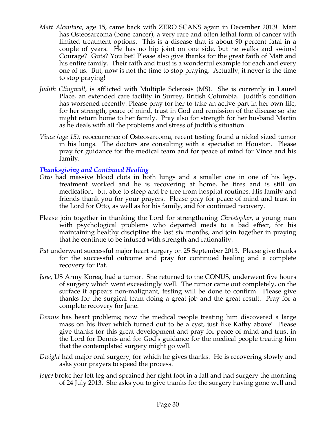- *Matt Alcantara*, age 15, came back with ZERO SCANS again in December 2013! Matt has Osteosarcoma (bone cancer), a very rare and often lethal form of cancer with limited treatment options. This is a disease that is about 90 percent fatal in a couple of years. He has no hip joint on one side, but he walks and swims! Courage? Guts? You bet! Please also give thanks for the great faith of Matt and his entire family. Their faith and trust is a wonderful example for each and every one of us. But, now is not the time to stop praying. Actually, it never is the time to stop praying!
- *Judith Clingwall*, is afflicted with Multiple Sclerosis (MS). She is currently in Laurel Place, an extended care facility in Surrey, British Columbia. Judith's condition has worsened recently. Please pray for her to take an active part in her own life, for her strength, peace of mind, trust in God and remission of the disease so she might return home to her family. Pray also for strength for her husband Martin as he deals with all the problems and stress of Judith's situation.
- *Vince (age 15),* reoccurrence of Osteosarcoma, recent testing found a nickel sized tumor in his lungs. The doctors are consulting with a specialist in Houston. Please pray for guidance for the medical team and for peace of mind for Vince and his family.

## *Thanksgiving and Continued Healing*

- *Otto* had massive blood clots in both lungs and a smaller one in one of his legs, treatment worked and he is recovering at home, he tires and is still on medication, but able to sleep and be free from hospital routines. His family and friends thank you for your prayers. Please pray for peace of mind and trust in the Lord for Otto, as well as for his family, and for continued recovery.
- Please join together in thanking the Lord for strengthening *Christopher*, a young man with psychological problems who departed meds to a bad effect, for his maintaining healthy discipline the last six months, and join together in praying that he continue to be infused with strength and rationality.
- *Pat* underwent successful major heart surgery on 25 September 2013. Please give thanks for the successful outcome and pray for continued healing and a complete recovery for Pat.
- *Jane*, US Army Korea, had a tumor. She returned to the CONUS, underwent five hours of surgery which went exceedingly well. The tumor came out completely, on the surface it appears non-malignant, testing will be done to confirm. Please give thanks for the surgical team doing a great job and the great result. Pray for a complete recovery for Jane.
- *Dennis* has heart problems; now the medical people treating him discovered a large mass on his liver which turned out to be a cyst, just like Kathy above! Please give thanks for this great development and pray for peace of mind and trust in the Lord for Dennis and for God's guidance for the medical people treating him that the contemplated surgery might go well.
- *Dwight* had major oral surgery, for which he gives thanks. He is recovering slowly and asks your prayers to speed the process.
- *Joyce* broke her left leg and sprained her right foot in a fall and had surgery the morning of 24 July 2013. She asks you to give thanks for the surgery having gone well and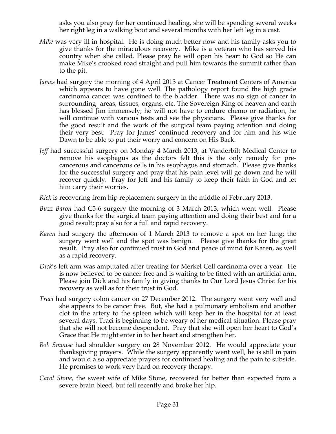asks you also pray for her continued healing, she will be spending several weeks her right leg in a walking boot and several months with her left leg in a cast.

- *Mike* was very ill in hospital. He is doing much better now and his family asks you to give thanks for the miraculous recovery. Mike is a veteran who has served his country when she called. Please pray he will open his heart to God so He can make Mike's crooked road straight and pull him towards the summit rather than to the pit.
- *James* had surgery the morning of 4 April 2013 at Cancer Treatment Centers of America which appears to have gone well. The pathology report found the high grade carcinoma cancer was confined to the bladder. There was no sign of cancer in surrounding areas, tissues, organs, etc. The Sovereign King of heaven and earth has blessed Jim immensely; he will not have to endure chemo or radiation, he will continue with various tests and see the physicians. Please give thanks for the good result and the work of the surgical team paying attention and doing their very best. Pray for James' continued recovery and for him and his wife Dawn to be able to put their worry and concern on His Back.
- *Jeff* had successful surgery on Monday 4 March 2013, at Vanderbilt Medical Center to remove his esophagus as the doctors felt this is the only remedy for precancerous and cancerous cells in his esophagus and stomach. Please give thanks for the successful surgery and pray that his pain level will go down and he will recover quickly. Pray for Jeff and his family to keep their faith in God and let him carry their worries.

*Rick* is recovering from hip replacement surgery in the middle of February 2013.

- *Buzz Baron* had C5-6 surgery the morning of 3 March 2013, which went well. Please give thanks for the surgical team paying attention and doing their best and for a good result; pray also for a full and rapid recovery.
- *Karen* had surgery the afternoon of 1 March 2013 to remove a spot on her lung; the surgery went well and the spot was benign. Please give thanks for the great result. Pray also for continued trust in God and peace of mind for Karen, as well as a rapid recovery.
- *Dick*'s left arm was amputated after treating for Merkel Cell carcinoma over a year. He is now believed to be cancer free and is waiting to be fitted with an artificial arm. Please join Dick and his family in giving thanks to Our Lord Jesus Christ for his recovery as well as for their trust in God.
- *Traci* had surgery colon cancer on 27 December 2012. The surgery went very well and she appears to be cancer free. But, she had a pulmonary embolism and another clot in the artery to the spleen which will keep her in the hospital for at least several days. Traci is beginning to be weary of her medical situation. Please pray that she will not become despondent. Pray that she will open her heart to God's Grace that He might enter in to her heart and strengthen her.
- *Bob Smouse* had shoulder surgery on 28 November 2012. He would appreciate your thanksgiving prayers. While the surgery apparently went well, he is still in pain and would also appreciate prayers for continued healing and the pain to subside. He promises to work very hard on recovery therapy.
- *Carol Stone*, the sweet wife of Mike Stone, recovered far better than expected from a severe brain bleed, but fell recently and broke her hip.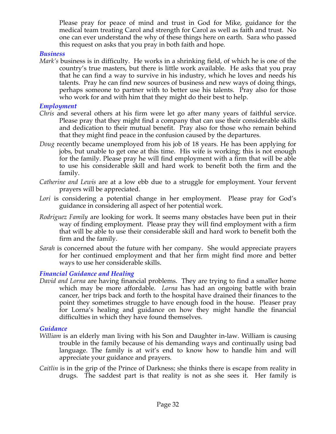Please pray for peace of mind and trust in God for Mike, guidance for the medical team treating Carol and strength for Carol as well as faith and trust. No one can ever understand the why of these things here on earth. Sara who passed this request on asks that you pray in both faith and hope.

#### *Business*

*Mark's* business is in difficulty. He works in a shrinking field, of which he is one of the country's true masters, but there is little work available. He asks that you pray that he can find a way to survive in his industry, which he loves and needs his talents. Pray he can find new sources of business and new ways of doing things, perhaps someone to partner with to better use his talents. Pray also for those who work for and with him that they might do their best to help.

#### *Employment*

- *Chris* and several others at his firm were let go after many years of faithful service. Please pray that they might find a company that can use their considerable skills and dedication to their mutual benefit. Pray also for those who remain behind that they might find peace in the confusion caused by the departures.
- *Doug* recently became unemployed from his job of 18 years. He has been applying for jobs, but unable to get one at this time. His wife is working; this is not enough for the family. Please pray he will find employment with a firm that will be able to use his considerable skill and hard work to benefit both the firm and the family.
- *Catherine and Lewis* are at a low ebb due to a struggle for employment. Your fervent prayers will be appreciated.
- Lori is considering a potential change in her employment. Please pray for God's guidance in considering all aspect of her potential work.
- *Rodriguez Family* are looking for work. It seems many obstacles have been put in their way of finding employment. Please pray they will find employment with a firm that will be able to use their considerable skill and hard work to benefit both the firm and the family.
- *Sarah* is concerned about the future with her company. She would appreciate prayers for her continued employment and that her firm might find more and better ways to use her considerable skills.

#### *Financial Guidance and Healing*

*David and Lorna* are having financial problems. They are trying to find a smaller home which may be more affordable. *Lorna* has had an ongoing battle with brain cancer, her trips back and forth to the hospital have drained their finances to the point they sometimes struggle to have enough food in the house. Pleaser pray for Lorna's healing and guidance on how they might handle the financial difficulties in which they have found themselves.

#### *Guidance*

- *William* is an elderly man living with his Son and Daughter in-law. William is causing trouble in the family because of his demanding ways and continually using bad language. The family is at wit's end to know how to handle him and will appreciate your guidance and prayers.
- *Caitlin* is in the grip of the Prince of Darkness; she thinks there is escape from reality in drugs. The saddest part is that reality is not as she sees it. Her family is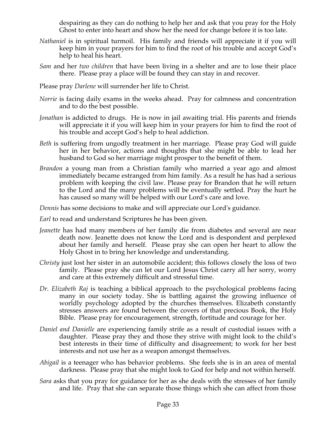despairing as they can do nothing to help her and ask that you pray for the Holy Ghost to enter into heart and show her the need for change before it is too late.

- *Nathaniel* is in spiritual turmoil. His family and friends will appreciate it if you will keep him in your prayers for him to find the root of his trouble and accept God's help to heal his heart.
- *Sam* and her *two children* that have been living in a shelter and are to lose their place there. Please pray a place will be found they can stay in and recover.
- Please pray *Darlene* will surrender her life to Christ.
- *Norrie* is facing daily exams in the weeks ahead. Pray for calmness and concentration and to do the best possible.
- *Jonathan* is addicted to drugs. He is now in jail awaiting trial. His parents and friends will appreciate it if you will keep him in your prayers for him to find the root of his trouble and accept God's help to heal addiction.
- *Beth* is suffering from ungodly treatment in her marriage. Please pray God will guide her in her behavior, actions and thoughts that she might be able to lead her husband to God so her marriage might prosper to the benefit of them.
- *Brandon* a young man from a Christian family who married a year ago and almost immediately became estranged from him family. As a result he has had a serious problem with keeping the civil law. Please pray for Brandon that he will return to the Lord and the many problems will be eventually settled. Pray the hurt he has caused so many will be helped with our Lord's care and love.

*Dennis* has some decisions to make and will appreciate our Lord's guidance.

*Earl* to read and understand Scriptures he has been given.

- *Jeanette* has had many members of her family die from diabetes and several are near death now. Jeanette does not know the Lord and is despondent and perplexed about her family and herself. Please pray she can open her heart to allow the Holy Ghost in to bring her knowledge and understanding.
- *Christy* just lost her sister in an automobile accident; this follows closely the loss of two family. Please pray she can let our Lord Jesus Christ carry all her sorry, worry and care at this extremely difficult and stressful time.
- *Dr. Elizabeth Raj* is teaching a biblical approach to the psychological problems facing many in our society today. She is battling against the growing influence of worldly psychology adopted by the churches themselves. Elizabeth constantly stresses answers are found between the covers of that precious Book, the Holy Bible. Please pray for encouragement, strength, fortitude and courage for her.
- *Daniel and Danielle* are experiencing family strife as a result of custodial issues with a daughter. Please pray they and those they strive with might look to the child's best interests in their time of difficulty and disagreement; to work for her best interests and not use her as a weapon amongst themselves.
- *Abigail* is a teenager who has behavior problems. She feels she is in an area of mental darkness. Please pray that she might look to God for help and not within herself.
- *Sara* asks that you pray for guidance for her as she deals with the stresses of her family and life. Pray that she can separate those things which she can affect from those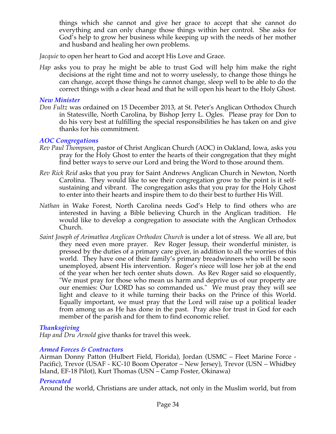things which she cannot and give her grace to accept that she cannot do everything and can only change those things within her control. She asks for God's help to grow her business while keeping up with the needs of her mother and husband and healing her own problems.

*Jacquie* to open her heart to God and accept His Love and Grace.

*Hap* asks you to pray he might be able to trust God will help him make the right decisions at the right time and not to worry uselessly, to change those things he can change, accept those things he cannot change, sleep well to be able to do the correct things with a clear head and that he will open his heart to the Holy Ghost.

#### *New Minister*

*Don Fultz* was ordained on 15 December 2013, at St. Peter's Anglican Orthodox Church in Statesville, North Carolina, by Bishop Jerry L. Ogles. Please pray for Don to do his very best at fulfilling the special responsibilities he has taken on and give thanks for his commitment.

## *AOC Congregations*

- *Rev Paul Thompson,* pastor of Christ Anglican Church (AOC) in Oakland, Iowa, asks you pray for the Holy Ghost to enter the hearts of their congregation that they might find better ways to serve our Lord and bring the Word to those around them.
- *Rev Rick Reid* asks that you pray for Saint Andrews Anglican Church in Newton, North Carolina. They would like to see their congregation grow to the point is it selfsustaining and vibrant. The congregation asks that you pray for the Holy Ghost to enter into their hearts and inspire them to do their best to further His Will.
- *Nathan* in Wake Forest, North Carolina needs God's Help to find others who are interested in having a Bible believing Church in the Anglican tradition. He would like to develop a congregation to associate with the Anglican Orthodox Church.
- *Saint Joseph of Arimathea Anglican Orthodox Church* is under a lot of stress. We all are, but they need even more prayer. Rev Roger Jessup, their wonderful minister, is pressed by the duties of a primary care giver, in addition to all the worries of this world. They have one of their family's primary breadwinners who will be soon unemployed, absent His intervention. Roger's niece will lose her job at the end of the year when her tech center shuts down. As Rev Roger said so eloquently, "We must pray for those who mean us harm and deprive us of our property are our enemies: Our LORD has so commanded us." We must pray they will see light and cleave to it while turning their backs on the Prince of this World. Equally important, we must pray that the Lord will raise up a political leader from among us as He has done in the past. Pray also for trust in God for each member of the parish and for them to find economic relief.

## *Thanksgiving*

*Hap and Dru Arnold* give thanks for travel this week.

## *Armed Forces & Contractors*

Airman Donny Patton (Hulbert Field, Florida), Jordan (USMC – Fleet Marine Force - Pacific), Trevor (USAF - KC-10 Boom Operator – New Jersey), Trevor (USN – Whidbey Island, EF-18 Pilot), Kurt Thomas (USN – Camp Foster, Okinawa)

#### *Persecuted*

Around the world, Christians are under attack, not only in the Muslim world, but from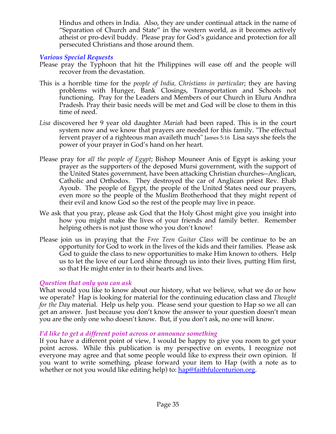Hindus and others in India. Also, they are under continual attack in the name of "Separation of Church and State" in the western world, as it becomes actively atheist or pro-devil buddy. Please pray for God's guidance and protection for all persecuted Christians and those around them.

## *Various Special Requests*

- Please pray the Typhoon that hit the Philippines will ease off and the people will recover from the devastation.
- This is a horrible time for the *people of India, Christians in particular*; they are having problems with Hunger, Bank Closings, Transportation and Schools not functioning. Pray for the Leaders and Members of our Church in Eluru Andhra Pradesh. Pray their basic needs will be met and God will be close to them in this time of need.
- *Lisa* discovered her 9 year old daughter *Mariah* had been raped. This is in the court system now and we know that prayers are needed for this family. "The effectual fervent prayer of a righteous man availeth much" James 5:16 Lisa says she feels the power of your prayer in God's hand on her heart.
- Please pray for *all the people of Egypt*; Bishop Mouneer Anis of Egypt is asking your prayer as the supporters of the deposed Mursi government, with the support of the United States government, have been attacking Christian churches--Anglican, Catholic and Orthodox. They destroyed the car of Anglican priest Rev. Ehab Ayoub. The people of Egypt, the people of the United States need our prayers, even more so the people of the Muslim Brotherhood that they might repent of their evil and know God so the rest of the people may live in peace.
- We ask that you pray, please ask God that the Holy Ghost might give you insight into how you might make the lives of your friends and family better. Remember helping others is not just those who you don't know!
- Please join us in praying that the *Free Teen Guitar Class* will be continue to be an opportunity for God to work in the lives of the kids and their families. Please ask God to guide the class to new opportunities to make Him known to others. Help us to let the love of our Lord shine through us into their lives, putting Him first, so that He might enter in to their hearts and lives.

## *Question that only you can ask*

What would you like to know about our history, what we believe, what we do or how we operate? Hap is looking for material for the continuing education class and *Thought for the Day* material. Help us help you. Please send your question to Hap so we all can get an answer. Just because you don't know the answer to your question doesn't mean you are the only one who doesn't know. But, if you don't ask, no one will know.

#### *I'd like to get a different point across or announce something*

If you have a different point of view, I would be happy to give you room to get your point across. While this publication is my perspective on events, I recognize not everyone may agree and that some people would like to express their own opinion. If you want to write something, please forward your item to Hap (with a note as to whether or not you would like editing help) to: hap@faithfulcenturion.org.